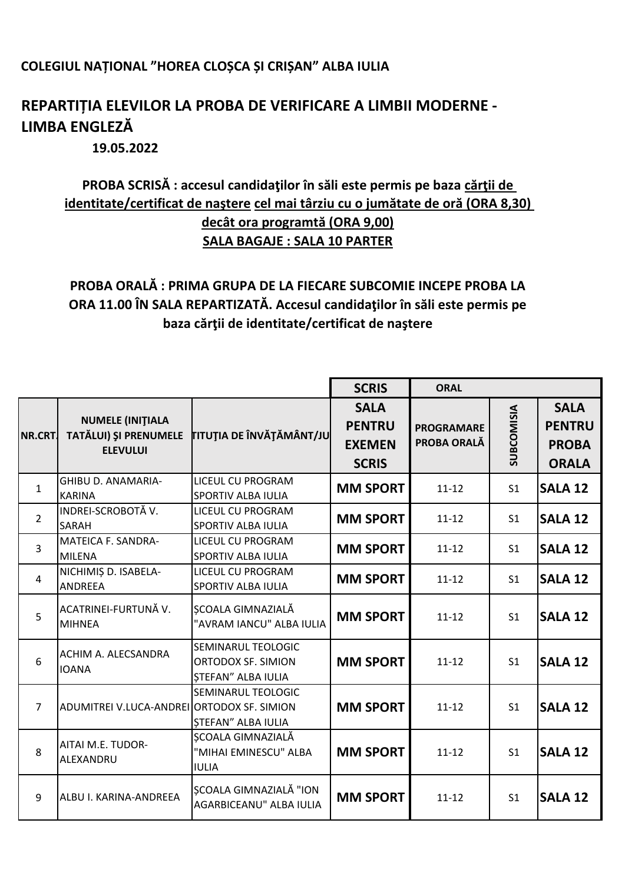## **COLEGIUL NAȚIONAL "HOREA CLOȘCA ȘI CRIȘAN" ALBA IULIA**

## **REPARTIȚIA ELEVILOR LA PROBA DE VERIFICARE A LIMBII MODERNE - LIMBA ENGLEZĂ**

**19.05.2022**

## **PROBA SCRISĂ : accesul candidaţilor în săli este permis pe baza cărţii de identitate/certificat de naştere cel mai târziu cu o jumătate de oră (ORA 8,30) decât ora programtă (ORA 9,00) SALA BAGAJE : SALA 10 PARTER**

## **PROBA ORALĂ : PRIMA GRUPA DE LA FIECARE SUBCOMIE INCEPE PROBA LA ORA 11.00 ÎN SALA REPARTIZATĂ. Accesul candidaţilor în săli este permis pe baza cărţii de identitate/certificat de naştere**

|                |                                                                     |                                                                | <b>SCRIS</b>                                                  | <b>ORAL</b>                      |                   |                                                              |
|----------------|---------------------------------------------------------------------|----------------------------------------------------------------|---------------------------------------------------------------|----------------------------------|-------------------|--------------------------------------------------------------|
| NR.CRT.        | <b>NUMELE (INITIALA</b><br>TATĂLUI) ȘI PRENUMELE<br><b>ELEVULUI</b> | TITUȚIA DE ÎNVĂȚĂMÂNT/JU                                       | <b>SALA</b><br><b>PENTRU</b><br><b>EXEMEN</b><br><b>SCRIS</b> | <b>PROGRAMARE</b><br>PROBA ORALĂ | <b>SUBCOMISIA</b> | <b>SALA</b><br><b>PENTRU</b><br><b>PROBA</b><br><b>ORALA</b> |
| $\mathbf{1}$   | <b>GHIBU D. ANAMARIA-</b><br><b>KARINA</b>                          | <b>LICEUL CU PROGRAM</b><br><b>SPORTIV ALBA IULIA</b>          | <b>MM SPORT</b>                                               | $11 - 12$                        | S <sub>1</sub>    | <b>SALA 12</b>                                               |
| $\overline{2}$ | INDREI-SCROBOTĂ V.<br>SARAH                                         | LICEUL CU PROGRAM<br><b>SPORTIV ALBA IULIA</b>                 | <b>MM SPORT</b>                                               | $11 - 12$                        | S <sub>1</sub>    | <b>SALA 12</b>                                               |
| $\overline{3}$ | MATEICA F. SANDRA-<br><b>MILENA</b>                                 | LICEUL CU PROGRAM<br><b>SPORTIV ALBA IULIA</b>                 | <b>MM SPORT</b>                                               | $11 - 12$                        | S <sub>1</sub>    | <b>SALA 12</b>                                               |
| $\overline{4}$ | NICHIMIȘ D. ISABELA-<br><b>ANDREEA</b>                              | LICEUL CU PROGRAM<br>SPORTIV ALBA IULIA                        | <b>MM SPORT</b>                                               | $11 - 12$                        | S <sub>1</sub>    | <b>SALA 12</b>                                               |
| 5              | ACATRINEI-FURTUNĂ V.<br><b>MIHNEA</b>                               | SCOALA GIMNAZIALĂ<br>"AVRAM IANCU" ALBA IULIA                  | <b>MM SPORT</b>                                               | $11 - 12$                        | S <sub>1</sub>    | <b>SALA 12</b>                                               |
| 6              | ACHIM A. ALECSANDRA<br><b>IOANA</b>                                 | SEMINARUL TEOLOGIC<br>ORTODOX SF. SIMION<br>STEFAN" ALBA IULIA | <b>MM SPORT</b>                                               | $11 - 12$                        | S <sub>1</sub>    | <b>SALA 12</b>                                               |
| $\overline{7}$ | ADUMITREI V.LUCA-ANDREI ORTODOX SF. SIMION                          | SEMINARUL TEOLOGIC<br><b>ȘTEFAN" ALBA IULIA</b>                | <b>MM SPORT</b>                                               | $11 - 12$                        | S <sub>1</sub>    | <b>SALA 12</b>                                               |
| 8              | AITAI M.E. TUDOR-<br>ALEXANDRU                                      | ȘCOALA GIMNAZIALĂ<br>"MIHAI EMINESCU" ALBA<br><b>IULIA</b>     | <b>MM SPORT</b>                                               | $11 - 12$                        | S <sub>1</sub>    | <b>SALA 12</b>                                               |
| 9              | ALBU I. KARINA-ANDREEA                                              | SCOALA GIMNAZIALĂ "ION<br>AGARBICEANU" ALBA IULIA              | <b>MM SPORT</b>                                               | $11 - 12$                        | S <sub>1</sub>    | <b>SALA 12</b>                                               |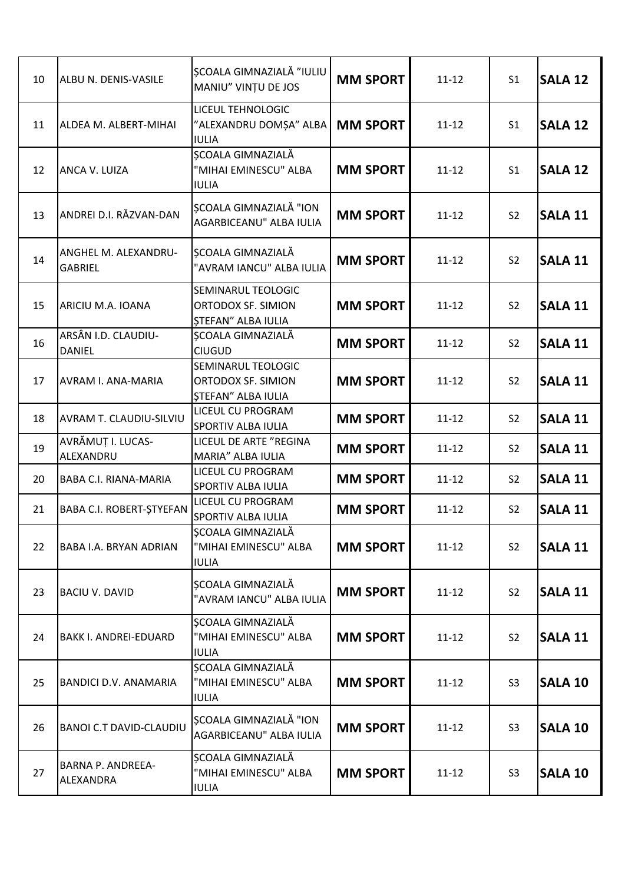| 10 | ALBU N. DENIS-VASILE                   | <b>SCOALA GIMNAZIALĂ "IULIU</b><br>MANIU" VINȚU DE JOS                | <b>MM SPORT</b> | $11 - 12$ | S <sub>1</sub> | <b>SALA 12</b> |
|----|----------------------------------------|-----------------------------------------------------------------------|-----------------|-----------|----------------|----------------|
| 11 | ALDEA M. ALBERT-MIHAI                  | LICEUL TEHNOLOGIC<br>"ALEXANDRU DOMȘA" ALBA<br><b>IULIA</b>           | <b>MM SPORT</b> | $11 - 12$ | S <sub>1</sub> | <b>SALA 12</b> |
| 12 | ANCA V. LUIZA                          | ȘCOALA GIMNAZIALĂ<br>"MIHAI EMINESCU" ALBA<br><b>IULIA</b>            | <b>MM SPORT</b> | $11 - 12$ | S <sub>1</sub> | <b>SALA 12</b> |
| 13 | ANDREI D.I. RĂZVAN-DAN                 | SCOALA GIMNAZIALĂ "ION<br>AGARBICEANU" ALBA IULIA                     | <b>MM SPORT</b> | $11 - 12$ | S <sub>2</sub> | <b>SALA 11</b> |
| 14 | ANGHEL M. ALEXANDRU-<br><b>GABRIEL</b> | ȘCOALA GIMNAZIALĂ<br>"AVRAM IANCU" ALBA IULIA                         | <b>MM SPORT</b> | $11 - 12$ | S <sub>2</sub> | <b>SALA 11</b> |
| 15 | ARICIU M.A. IOANA                      | SEMINARUL TEOLOGIC<br>ORTODOX SF. SIMION<br><b>ȘTEFAN" ALBA IULIA</b> | <b>MM SPORT</b> | $11 - 12$ | S <sub>2</sub> | <b>SALA 11</b> |
| 16 | ARSÂN I.D. CLAUDIU-<br><b>DANIEL</b>   | ȘCOALA GIMNAZIALĂ<br><b>CIUGUD</b>                                    | <b>MM SPORT</b> | $11 - 12$ | S <sub>2</sub> | <b>SALA 11</b> |
| 17 | <b>AVRAM I. ANA-MARIA</b>              | SEMINARUL TEOLOGIC<br>ORTODOX SF. SIMION<br><b>ȘTEFAN" ALBA IULIA</b> | <b>MM SPORT</b> | $11 - 12$ | S <sub>2</sub> | <b>SALA 11</b> |
| 18 | <b>AVRAM T. CLAUDIU-SILVIU</b>         | LICEUL CU PROGRAM<br>SPORTIV ALBA IULIA                               | <b>MM SPORT</b> | $11 - 12$ | S <sub>2</sub> | <b>SALA 11</b> |
| 19 | AVRĂMUȚ I. LUCAS-<br>ALEXANDRU         | LICEUL DE ARTE "REGINA<br>MARIA" ALBA IULIA                           | <b>MM SPORT</b> | $11 - 12$ | S <sub>2</sub> | <b>SALA 11</b> |
| 20 | <b>BABA C.I. RIANA-MARIA</b>           | LICEUL CU PROGRAM<br>SPORTIV ALBA IULIA                               | <b>MM SPORT</b> | $11 - 12$ | S <sub>2</sub> | <b>SALA 11</b> |
| 21 | BABA C.I. ROBERT-ȘTYEFAN               | LICEUL CU PROGRAM<br><b>SPORTIV ALBA IULIA</b>                        | <b>MM SPORT</b> | $11 - 12$ | S <sub>2</sub> | <b>SALA 11</b> |
| 22 | <b>BABA I.A. BRYAN ADRIAN</b>          | ȘCOALA GIMNAZIALĂ<br>"MIHAI EMINESCU" ALBA<br><b>IULIA</b>            | <b>MM SPORT</b> | $11 - 12$ | S <sub>2</sub> | <b>SALA 11</b> |
| 23 | <b>BACIU V. DAVID</b>                  | ȘCOALA GIMNAZIALĂ<br>"AVRAM IANCU" ALBA IULIA                         | <b>MM SPORT</b> | $11 - 12$ | S <sub>2</sub> | <b>SALA 11</b> |
| 24 | <b>BAKK I. ANDREI-EDUARD</b>           | ȘCOALA GIMNAZIALĂ<br>"MIHAI EMINESCU" ALBA<br><b>IULIA</b>            | <b>MM SPORT</b> | $11 - 12$ | S <sub>2</sub> | <b>SALA 11</b> |
| 25 | <b>BANDICI D.V. ANAMARIA</b>           | SCOALA GIMNAZIALĂ<br>"MIHAI EMINESCU" ALBA<br><b>IULIA</b>            | <b>MM SPORT</b> | $11 - 12$ | S <sub>3</sub> | <b>SALA 10</b> |
| 26 | <b>BANOI C.T DAVID-CLAUDIU</b>         | <b>SCOALA GIMNAZIALĂ "ION</b><br>AGARBICEANU" ALBA IULIA              | <b>MM SPORT</b> | $11 - 12$ | S <sub>3</sub> | <b>SALA 10</b> |
| 27 | <b>BARNA P. ANDREEA-</b><br>ALEXANDRA  | SCOALA GIMNAZIALĂ<br>"MIHAI EMINESCU" ALBA<br><b>IULIA</b>            | <b>MM SPORT</b> | $11 - 12$ | S <sub>3</sub> | <b>SALA 10</b> |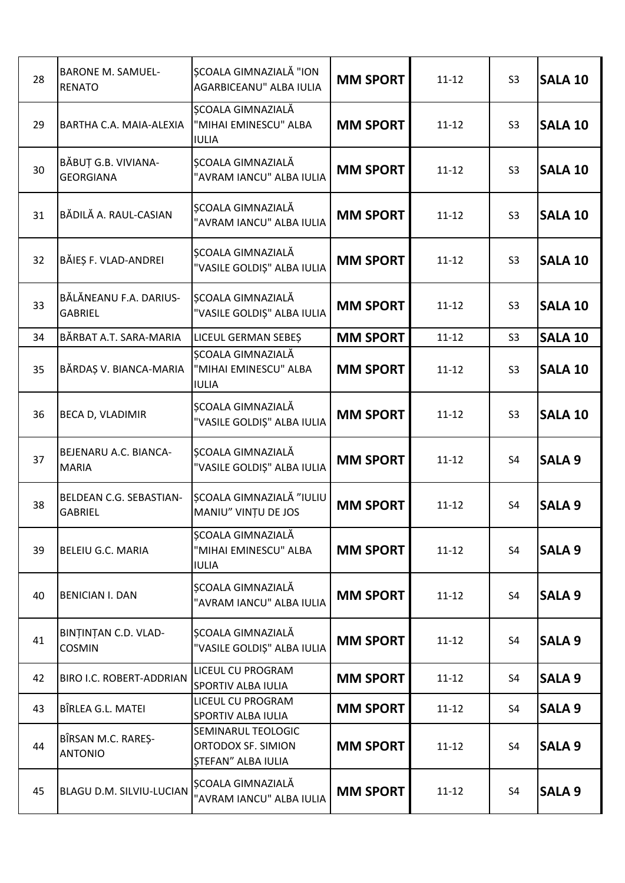| 28 | <b>BARONE M. SAMUEL-</b><br><b>RENATO</b> | <b>SCOALA GIMNAZIALĂ "ION</b><br>AGARBICEANU" ALBA IULIA              | <b>MM SPORT</b> | $11 - 12$ | S <sub>3</sub> | <b>SALA 10</b> |
|----|-------------------------------------------|-----------------------------------------------------------------------|-----------------|-----------|----------------|----------------|
| 29 | <b>BARTHA C.A. MAIA-ALEXIA</b>            | <b>SCOALA GIMNAZIALĂ</b><br>"MIHAI EMINESCU" ALBA<br><b>IULIA</b>     | <b>MM SPORT</b> | $11 - 12$ | S <sub>3</sub> | <b>SALA 10</b> |
| 30 | BĂBUȚ G.B. VIVIANA-<br><b>GEORGIANA</b>   | ȘCOALA GIMNAZIALĂ<br>"AVRAM IANCU" ALBA IULIA                         | <b>MM SPORT</b> | $11 - 12$ | S <sub>3</sub> | <b>SALA 10</b> |
| 31 | BĂDILĂ A. RAUL-CASIAN                     | SCOALA GIMNAZIALĂ<br>"AVRAM IANCU" ALBA IULIA                         | <b>MM SPORT</b> | $11 - 12$ | S <sub>3</sub> | <b>SALA 10</b> |
| 32 | BĂIEȘ F. VLAD-ANDREI                      | ȘCOALA GIMNAZIALĂ<br>"VASILE GOLDIȘ" ALBA IULIA                       | <b>MM SPORT</b> | $11 - 12$ | S <sub>3</sub> | <b>SALA 10</b> |
| 33 | BĂLĂNEANU F.A. DARIUS-<br><b>GABRIEL</b>  | SCOALA GIMNAZIALĂ<br>"VASILE GOLDIȘ" ALBA IULIA                       | <b>MM SPORT</b> | $11 - 12$ | S <sub>3</sub> | <b>SALA 10</b> |
| 34 | BĂRBAT A.T. SARA-MARIA                    | LICEUL GERMAN SEBEȘ                                                   | <b>MM SPORT</b> | $11 - 12$ | S <sub>3</sub> | <b>SALA 10</b> |
| 35 | BĂRDAȘ V. BIANCA-MARIA                    | <b>SCOALA GIMNAZIALĂ</b><br>"MIHAI EMINESCU" ALBA<br><b>IULIA</b>     | <b>MM SPORT</b> | $11 - 12$ | S <sub>3</sub> | <b>SALA 10</b> |
| 36 | BECA D, VLADIMIR                          | SCOALA GIMNAZIALĂ<br>"VASILE GOLDIȘ" ALBA IULIA                       | <b>MM SPORT</b> | $11 - 12$ | S <sub>3</sub> | <b>SALA 10</b> |
| 37 | BEJENARU A.C. BIANCA-<br><b>MARIA</b>     | ȘCOALA GIMNAZIALĂ<br>"VASILE GOLDIȘ" ALBA IULIA                       | <b>MM SPORT</b> | $11 - 12$ | S <sub>4</sub> | <b>SALA 9</b>  |
| 38 | BELDEAN C.G. SEBASTIAN-<br><b>GABRIEL</b> | <b>SCOALA GIMNAZIALĂ "IULIU</b><br>MANIU" VINȚU DE JOS                | <b>MM SPORT</b> | $11 - 12$ | S <sub>4</sub> | <b>SALA 9</b>  |
| 39 | <b>BELEIU G.C. MARIA</b>                  | ȘCOALA GIMNAZIALĂ<br>"MIHAI EMINESCU" ALBA<br><b>IULIA</b>            | <b>MM SPORT</b> | $11 - 12$ | S4             | <b>SALA 9</b>  |
| 40 | <b>BENICIAN I. DAN</b>                    | ȘCOALA GIMNAZIALĂ<br>"AVRAM IANCU" ALBA IULIA                         | <b>MM SPORT</b> | $11 - 12$ | S4             | <b>SALA 9</b>  |
| 41 | BINȚINȚAN C.D. VLAD-<br><b>COSMIN</b>     | SCOALA GIMNAZIALĂ<br>"VASILE GOLDIȘ" ALBA IULIA                       | <b>MM SPORT</b> | $11 - 12$ | S4             | <b>SALA 9</b>  |
| 42 | BIRO I.C. ROBERT-ADDRIAN                  | LICEUL CU PROGRAM<br>SPORTIV ALBA IULIA                               | <b>MM SPORT</b> | $11 - 12$ | S4             | <b>SALA 9</b>  |
| 43 | BÎRLEA G.L. MATEI                         | LICEUL CU PROGRAM<br>SPORTIV ALBA IULIA                               | <b>MM SPORT</b> | $11 - 12$ | S4             | <b>SALA 9</b>  |
| 44 | BÎRSAN M.C. RAREŞ-<br><b>ANTONIO</b>      | SEMINARUL TEOLOGIC<br>ORTODOX SF. SIMION<br><b>STEFAN" ALBA IULIA</b> | <b>MM SPORT</b> | $11 - 12$ | S4             | <b>SALA 9</b>  |
| 45 | BLAGU D.M. SILVIU-LUCIAN                  | ȘCOALA GIMNAZIALĂ<br>"AVRAM IANCU" ALBA IULIA                         | <b>MM SPORT</b> | $11 - 12$ | S4             | <b>SALA 9</b>  |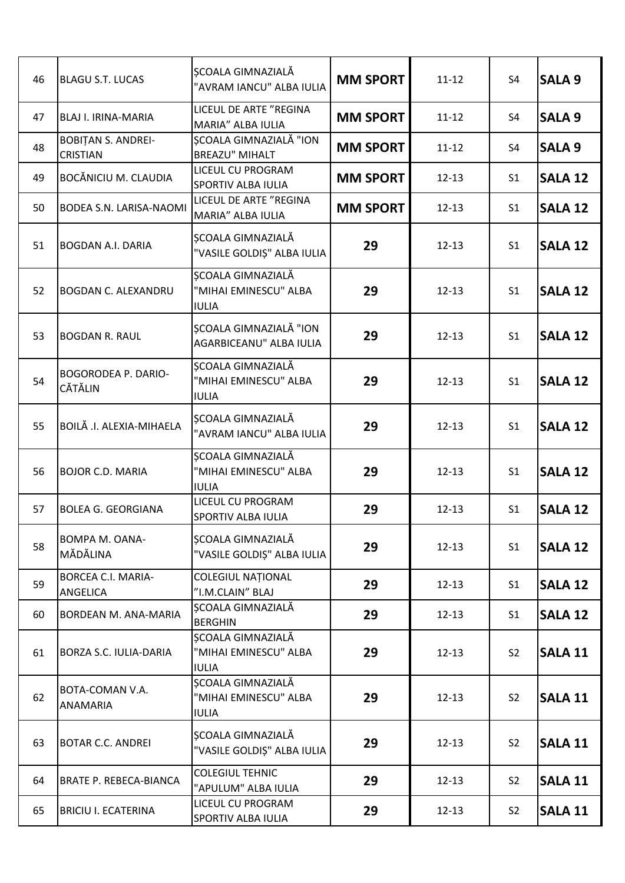| 46 | <b>BLAGU S.T. LUCAS</b>                      | SCOALA GIMNAZIALĂ<br>"AVRAM IANCU" ALBA IULIA              | <b>MM SPORT</b> | $11 - 12$ | S <sub>4</sub> | <b>SALA 9</b>  |
|----|----------------------------------------------|------------------------------------------------------------|-----------------|-----------|----------------|----------------|
| 47 | <b>BLAJ I. IRINA-MARIA</b>                   | LICEUL DE ARTE "REGINA<br>MARIA" ALBA IULIA                | <b>MM SPORT</b> | $11 - 12$ | S <sub>4</sub> | <b>SALA 9</b>  |
| 48 | <b>BOBITAN S. ANDREI-</b><br><b>CRISTIAN</b> | ȘCOALA GIMNAZIALĂ "ION<br><b>BREAZU" MIHALT</b>            | <b>MM SPORT</b> | $11 - 12$ | S <sub>4</sub> | <b>SALA 9</b>  |
| 49 | <b>BOCĂNICIU M. CLAUDIA</b>                  | LICEUL CU PROGRAM<br>SPORTIV ALBA IULIA                    | <b>MM SPORT</b> | $12 - 13$ | S <sub>1</sub> | <b>SALA 12</b> |
| 50 | <b>BODEA S.N. LARISA-NAOMI</b>               | LICEUL DE ARTE "REGINA<br>MARIA" ALBA IULIA                | <b>MM SPORT</b> | $12 - 13$ | S <sub>1</sub> | <b>SALA 12</b> |
| 51 | <b>BOGDAN A.I. DARIA</b>                     | ȘCOALA GIMNAZIALĂ<br>"VASILE GOLDIȘ" ALBA IULIA            | 29              | $12 - 13$ | S <sub>1</sub> | <b>SALA 12</b> |
| 52 | <b>BOGDAN C. ALEXANDRU</b>                   | ȘCOALA GIMNAZIALĂ<br>"MIHAI EMINESCU" ALBA<br><b>IULIA</b> | 29              | $12 - 13$ | S <sub>1</sub> | <b>SALA 12</b> |
| 53 | <b>BOGDAN R. RAUL</b>                        | ȘCOALA GIMNAZIALĂ "ION<br>AGARBICEANU" ALBA IULIA          | 29              | $12 - 13$ | S <sub>1</sub> | <b>SALA 12</b> |
| 54 | <b>BOGORODEA P. DARIO-</b><br><b>CĂTĂLIN</b> | ȘCOALA GIMNAZIALĂ<br>"MIHAI EMINESCU" ALBA<br><b>IULIA</b> | 29              | $12 - 13$ | S <sub>1</sub> | <b>SALA 12</b> |
| 55 | BOILĂ .I. ALEXIA-MIHAELA                     | SCOALA GIMNAZIALĂ<br>"AVRAM IANCU" ALBA IULIA              | 29              | $12 - 13$ | S <sub>1</sub> | <b>SALA 12</b> |
| 56 | <b>BOJOR C.D. MARIA</b>                      | SCOALA GIMNAZIALĂ<br>"MIHAI EMINESCU" ALBA<br><b>IULIA</b> | 29              | $12 - 13$ | S <sub>1</sub> | <b>SALA 12</b> |
| 57 | <b>BOLEA G. GEORGIANA</b>                    | LICEUL CU PROGRAM<br>SPORTIV ALBA IULIA                    | 29              | $12 - 13$ | S <sub>1</sub> | <b>SALA 12</b> |
| 58 | <b>BOMPA M. OANA-</b><br>MĂDĂLINA            | SCOALA GIMNAZIALĂ<br>"VASILE GOLDIȘ" ALBA IULIA            | 29              | $12 - 13$ | S <sub>1</sub> | <b>SALA 12</b> |
| 59 | <b>BORCEA C.I. MARIA-</b><br>ANGELICA        | <b>COLEGIUL NATIONAL</b><br>"I.M.CLAIN" BLAJ               | 29              | $12 - 13$ | S <sub>1</sub> | <b>SALA 12</b> |
| 60 | <b>BORDEAN M. ANA-MARIA</b>                  | SCOALA GIMNAZIALĂ<br><b>BERGHIN</b>                        | 29              | $12 - 13$ | S <sub>1</sub> | <b>SALA 12</b> |
| 61 | <b>BORZA S.C. IULIA-DARIA</b>                | ȘCOALA GIMNAZIALĂ<br>"MIHAI EMINESCU" ALBA<br><b>IULIA</b> | 29              | $12 - 13$ | S <sub>2</sub> | <b>SALA 11</b> |
| 62 | BOTA-COMAN V.A.<br><b>ANAMARIA</b>           | ȘCOALA GIMNAZIALĂ<br>"MIHAI EMINESCU" ALBA<br><b>IULIA</b> | 29              | $12 - 13$ | S <sub>2</sub> | <b>SALA 11</b> |
| 63 | <b>BOTAR C.C. ANDREI</b>                     | ȘCOALA GIMNAZIALĂ<br>"VASILE GOLDIȘ" ALBA IULIA            | 29              | $12 - 13$ | S <sub>2</sub> | <b>SALA 11</b> |
| 64 | <b>BRATE P. REBECA-BIANCA</b>                | <b>COLEGIUL TEHNIC</b><br>"APULUM" ALBA IULIA              | 29              | $12 - 13$ | S <sub>2</sub> | <b>SALA 11</b> |
| 65 | <b>BRICIU I. ECATERINA</b>                   | LICEUL CU PROGRAM<br>SPORTIV ALBA IULIA                    | 29              | $12 - 13$ | S <sub>2</sub> | <b>SALA 11</b> |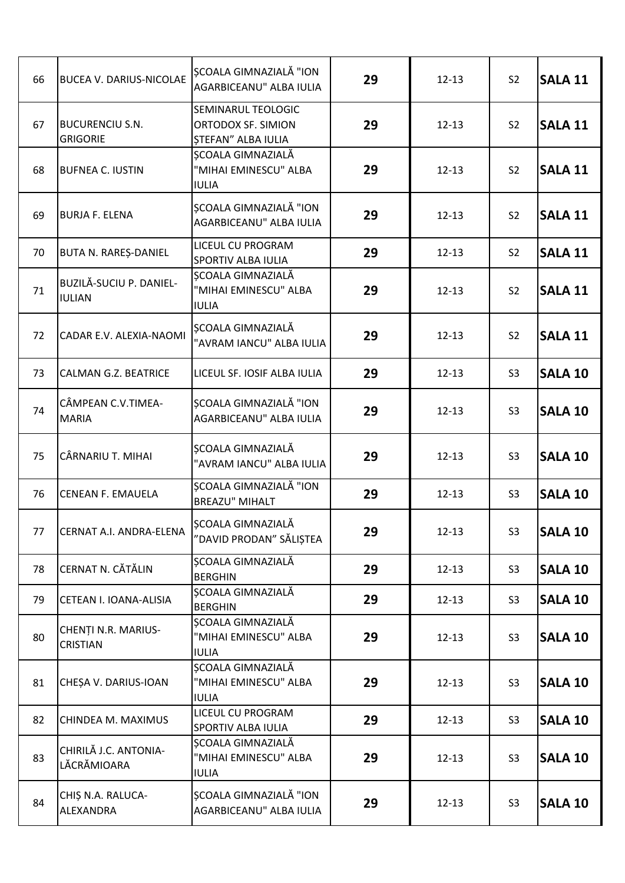| 66 | <b>BUCEA V. DARIUS-NICOLAE</b>            | <b>SCOALA GIMNAZIALĂ "ION</b><br>AGARBICEANU" ALBA IULIA              | 29 | $12 - 13$ | S <sub>2</sub> | <b>SALA 11</b> |
|----|-------------------------------------------|-----------------------------------------------------------------------|----|-----------|----------------|----------------|
| 67 | <b>BUCURENCIU S.N.</b><br><b>GRIGORIE</b> | SEMINARUL TEOLOGIC<br>ORTODOX SF. SIMION<br><b>ȘTEFAN" ALBA IULIA</b> | 29 | $12 - 13$ | S <sub>2</sub> | <b>SALA 11</b> |
| 68 | <b>BUFNEA C. IUSTIN</b>                   | SCOALA GIMNAZIALĂ<br>"MIHAI EMINESCU" ALBA<br><b>IULIA</b>            | 29 | $12 - 13$ | S <sub>2</sub> | <b>SALA 11</b> |
| 69 | <b>BURJA F. ELENA</b>                     | SCOALA GIMNAZIALĂ "ION<br>AGARBICEANU" ALBA IULIA                     | 29 | $12 - 13$ | S <sub>2</sub> | <b>SALA 11</b> |
| 70 | BUTA N. RAREȘ-DANIEL                      | LICEUL CU PROGRAM<br>SPORTIV ALBA IULIA                               | 29 | $12 - 13$ | S <sub>2</sub> | <b>SALA 11</b> |
| 71 | BUZILĂ-SUCIU P. DANIEL-<br><b>IULIAN</b>  | SCOALA GIMNAZIALĂ<br>"MIHAI EMINESCU" ALBA<br><b>IULIA</b>            | 29 | $12 - 13$ | S <sub>2</sub> | <b>SALA 11</b> |
| 72 | CADAR E.V. ALEXIA-NAOMI                   | ȘCOALA GIMNAZIALĂ<br>"AVRAM IANCU" ALBA IULIA                         | 29 | $12 - 13$ | S <sub>2</sub> | <b>SALA 11</b> |
| 73 | CALMAN G.Z. BEATRICE                      | LICEUL SF. IOSIF ALBA IULIA                                           | 29 | $12 - 13$ | S <sub>3</sub> | <b>SALA 10</b> |
| 74 | CÂMPEAN C.V.TIMEA-<br><b>MARIA</b>        | ȘCOALA GIMNAZIALĂ "ION<br>AGARBICEANU" ALBA IULIA                     | 29 | $12 - 13$ | S <sub>3</sub> | <b>SALA 10</b> |
| 75 | CÂRNARIU T. MIHAI                         | SCOALA GIMNAZIALĂ<br>"AVRAM IANCU" ALBA IULIA                         | 29 | $12 - 13$ | S <sub>3</sub> | <b>SALA 10</b> |
| 76 | CENEAN F. EMAUELA                         | ȘCOALA GIMNAZIALĂ "ION<br><b>BREAZU" MIHALT</b>                       | 29 | $12 - 13$ | S <sub>3</sub> | <b>SALA 10</b> |
| 77 | CERNAT A.I. ANDRA-ELENA                   | ȘCOALA GIMNAZIALĂ<br>"DAVID PRODAN" SĂLIȘTEA                          | 29 | $12 - 13$ | S <sub>3</sub> | <b>SALA 10</b> |
| 78 | CERNAT N. CĂTĂLIN                         | ȘCOALA GIMNAZIALĂ<br><b>BERGHIN</b>                                   | 29 | $12 - 13$ | S <sub>3</sub> | <b>SALA 10</b> |
| 79 | CETEAN I. IOANA-ALISIA                    | SCOALA GIMNAZIALĂ<br><b>BERGHIN</b>                                   | 29 | $12 - 13$ | S <sub>3</sub> | <b>SALA 10</b> |
| 80 | CHENȚI N.R. MARIUS-<br><b>CRISTIAN</b>    | SCOALA GIMNAZIALĂ<br>"MIHAI EMINESCU" ALBA<br><b>IULIA</b>            | 29 | $12 - 13$ | S <sub>3</sub> | <b>SALA 10</b> |
| 81 | CHESA V. DARIUS-IOAN                      | ȘCOALA GIMNAZIALĂ<br>"MIHAI EMINESCU" ALBA<br><b>IULIA</b>            | 29 | $12 - 13$ | S <sub>3</sub> | <b>SALA 10</b> |
| 82 | CHINDEA M. MAXIMUS                        | LICEUL CU PROGRAM<br>SPORTIV ALBA IULIA                               | 29 | $12 - 13$ | S <sub>3</sub> | <b>SALA 10</b> |
| 83 | CHIRILĂ J.C. ANTONIA-<br>LĂCRĂMIOARA      | ȘCOALA GIMNAZIALĂ<br>"MIHAI EMINESCU" ALBA<br><b>IULIA</b>            | 29 | $12 - 13$ | S <sub>3</sub> | <b>SALA 10</b> |
| 84 | CHIȘ N.A. RALUCA-<br>ALEXANDRA            | ȘCOALA GIMNAZIALĂ "ION<br>AGARBICEANU" ALBA IULIA                     | 29 | $12 - 13$ | S <sub>3</sub> | <b>SALA 10</b> |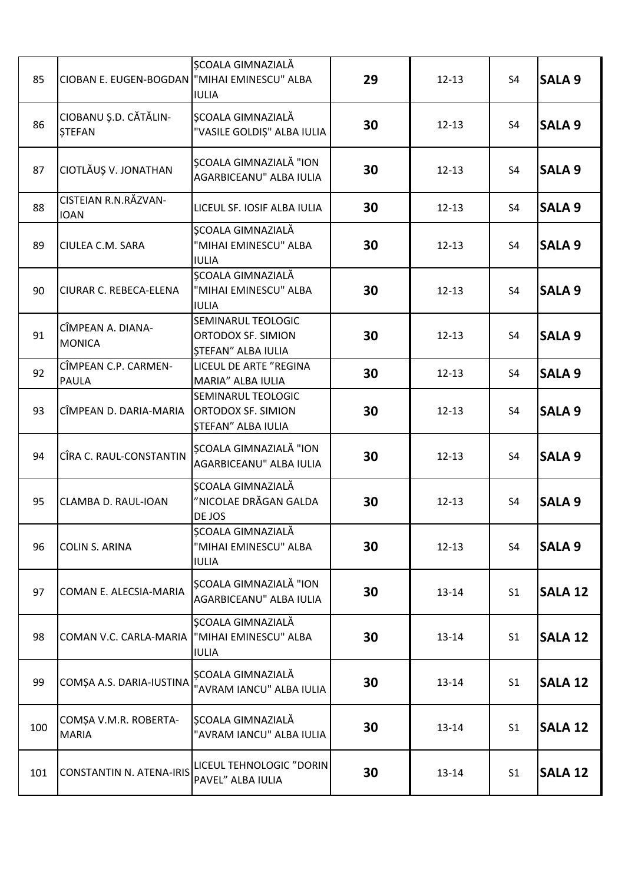| 85  | CIOBAN E. EUGEN-BOGDAN   "MIHAI EMINESCU" ALBA | ȘCOALA GIMNAZIALĂ<br><b>IULIA</b>                                     | 29 | $12 - 13$ | S <sub>4</sub> | <b>SALA 9</b>  |
|-----|------------------------------------------------|-----------------------------------------------------------------------|----|-----------|----------------|----------------|
| 86  | CIOBANU Ș.D. CĂTĂLIN-<br><b>STEFAN</b>         | <b>SCOALA GIMNAZIALĂ</b><br>"VASILE GOLDIȘ" ALBA IULIA                | 30 | $12 - 13$ | S4             | <b>SALA 9</b>  |
| 87  | CIOTLĂUȘ V. JONATHAN                           | <b>SCOALA GIMNAZIALĂ "ION</b><br>AGARBICEANU" ALBA IULIA              | 30 | $12 - 13$ | S <sub>4</sub> | <b>SALA 9</b>  |
| 88  | CISTEIAN R.N.RĂZVAN-<br><b>IOAN</b>            | LICEUL SF. IOSIF ALBA IULIA                                           | 30 | $12 - 13$ | S4             | <b>SALA 9</b>  |
| 89  | CIULEA C.M. SARA                               | ȘCOALA GIMNAZIALĂ<br>"MIHAI EMINESCU" ALBA<br><b>IULIA</b>            | 30 | $12 - 13$ | S <sub>4</sub> | <b>SALA 9</b>  |
| 90  | CIURAR C. REBECA-ELENA                         | ȘCOALA GIMNAZIALĂ<br>"MIHAI EMINESCU" ALBA<br><b>IULIA</b>            | 30 | $12 - 13$ | S <sub>4</sub> | <b>SALA 9</b>  |
| 91  | CÎMPEAN A. DIANA-<br><b>MONICA</b>             | SEMINARUL TEOLOGIC<br>ORTODOX SF. SIMION<br><b>STEFAN" ALBA IULIA</b> | 30 | $12 - 13$ | S <sub>4</sub> | <b>SALA 9</b>  |
| 92  | CÎMPEAN C.P. CARMEN-<br>PAULA                  | LICEUL DE ARTE "REGINA<br>MARIA" ALBA IULIA                           | 30 | $12 - 13$ | S <sub>4</sub> | <b>SALA 9</b>  |
| 93  | CÎMPEAN D. DARIA-MARIA                         | SEMINARUL TEOLOGIC<br><b>ORTODOX SF. SIMION</b><br>ȘTEFAN" ALBA IULIA | 30 | $12 - 13$ | S <sub>4</sub> | <b>SALA 9</b>  |
| 94  | CÎRA C. RAUL-CONSTANTIN                        | <b>SCOALA GIMNAZIALĂ "ION</b><br>AGARBICEANU" ALBA IULIA              | 30 | $12 - 13$ | S <sub>4</sub> | <b>SALA 9</b>  |
| 95  | CLAMBA D. RAUL-IOAN                            | ȘCOALA GIMNAZIALĂ<br>"NICOLAE DRĂGAN GALDA<br>DE JOS                  | 30 | $12 - 13$ | S4             | <b>SALA 9</b>  |
| 96  | <b>COLIN S. ARINA</b>                          | <b>SCOALA GIMNAZIALĂ</b><br>"MIHAI EMINESCU" ALBA<br><b>IULIA</b>     | 30 | $12 - 13$ | S4             | <b>SALA 9</b>  |
| 97  | COMAN E. ALECSIA-MARIA                         | SCOALA GIMNAZIALĂ "ION<br>AGARBICEANU" ALBA IULIA                     | 30 | $13 - 14$ | S <sub>1</sub> | <b>SALA 12</b> |
| 98  | COMAN V.C. CARLA-MARIA                         | ȘCOALA GIMNAZIALĂ<br>"MIHAI EMINESCU" ALBA<br><b>IULIA</b>            | 30 | $13 - 14$ | S <sub>1</sub> | <b>SALA 12</b> |
| 99  | COMȘA A.S. DARIA-IUSTINA                       | SCOALA GIMNAZIALĂ<br>"AVRAM IANCU" ALBA IULIA                         | 30 | $13 - 14$ | S <sub>1</sub> | <b>SALA 12</b> |
| 100 | COMȘA V.M.R. ROBERTA-<br><b>MARIA</b>          | SCOALA GIMNAZIALĂ<br>"AVRAM IANCU" ALBA IULIA                         | 30 | $13 - 14$ | S <sub>1</sub> | <b>SALA 12</b> |
| 101 | <b>CONSTANTIN N. ATENA-IRIS</b>                | LICEUL TEHNOLOGIC "DORIN<br>PAVEL" ALBA IULIA                         | 30 | $13 - 14$ | S <sub>1</sub> | <b>SALA 12</b> |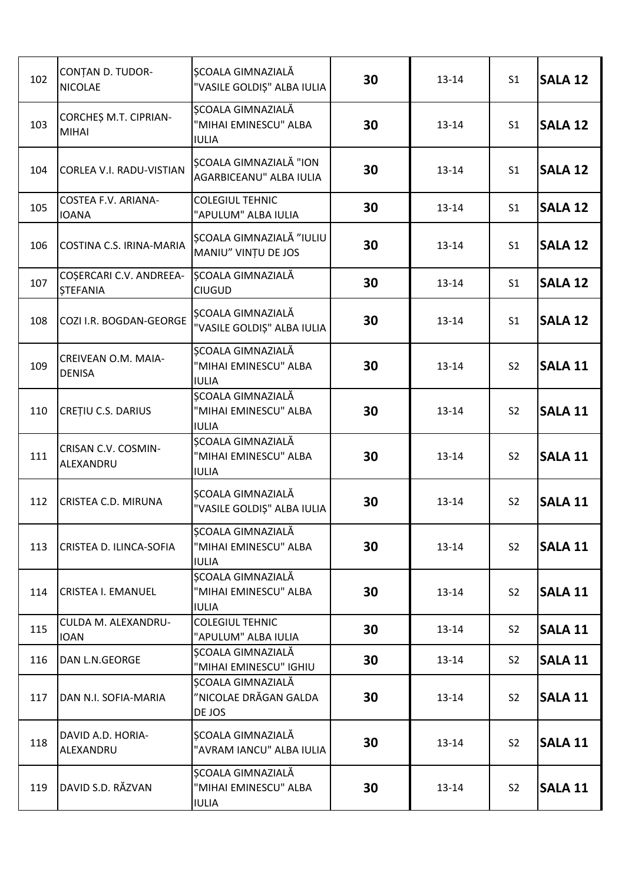| 102 | <b>CONTAN D. TUDOR-</b><br><b>NICOLAE</b>  | ȘCOALA GIMNAZIALĂ<br>"VASILE GOLDIȘ" ALBA IULIA            | 30 | $13 - 14$ | S <sub>1</sub> | <b>SALA 12</b> |
|-----|--------------------------------------------|------------------------------------------------------------|----|-----------|----------------|----------------|
| 103 | CORCHES M.T. CIPRIAN-<br><b>MIHAI</b>      | ȘCOALA GIMNAZIALĂ<br>"MIHAI EMINESCU" ALBA<br><b>IULIA</b> | 30 | $13 - 14$ | S <sub>1</sub> | <b>SALA 12</b> |
| 104 | CORLEA V.I. RADU-VISTIAN                   | <b>SCOALA GIMNAZIALĂ "ION</b><br>AGARBICEANU" ALBA IULIA   | 30 | $13 - 14$ | S <sub>1</sub> | <b>SALA 12</b> |
| 105 | <b>COSTEA F.V. ARIANA-</b><br><b>IOANA</b> | <b>COLEGIUL TEHNIC</b><br>"APULUM" ALBA IULIA              | 30 | $13 - 14$ | S <sub>1</sub> | <b>SALA 12</b> |
| 106 | COSTINA C.S. IRINA-MARIA                   | <b>SCOALA GIMNAZIALĂ "IULIU</b><br>MANIU" VINȚU DE JOS     | 30 | $13 - 14$ | S <sub>1</sub> | <b>SALA 12</b> |
| 107 | COȘERCARI C.V. ANDREEA-<br><b>STEFANIA</b> | ȘCOALA GIMNAZIALĂ<br><b>CIUGUD</b>                         | 30 | $13 - 14$ | S <sub>1</sub> | <b>SALA 12</b> |
| 108 | COZI I.R. BOGDAN-GEORGE                    | <b>SCOALA GIMNAZIALĂ</b><br>"VASILE GOLDIȘ" ALBA IULIA     | 30 | $13 - 14$ | S <sub>1</sub> | <b>SALA 12</b> |
| 109 | CREIVEAN O.M. MAIA-<br><b>DENISA</b>       | ȘCOALA GIMNAZIALĂ<br>"MIHAI EMINESCU" ALBA<br><b>IULIA</b> | 30 | $13 - 14$ | S <sub>2</sub> | <b>SALA 11</b> |
| 110 | CREȚIU C.S. DARIUS                         | ȘCOALA GIMNAZIALĂ<br>"MIHAI EMINESCU" ALBA<br><b>IULIA</b> | 30 | $13 - 14$ | S <sub>2</sub> | <b>SALA 11</b> |
| 111 | CRISAN C.V. COSMIN-<br>ALEXANDRU           | ȘCOALA GIMNAZIALĂ<br>"MIHAI EMINESCU" ALBA<br><b>IULIA</b> | 30 | $13 - 14$ | S <sub>2</sub> | <b>SALA 11</b> |
| 112 | CRISTEA C.D. MIRUNA                        | ȘCOALA GIMNAZIALĂ<br>"VASILE GOLDIȘ" ALBA IULIA            | 30 | $13 - 14$ | S <sub>2</sub> | <b>SALA 11</b> |
| 113 | CRISTEA D. ILINCA-SOFIA                    | ȘCOALA GIMNAZIALĂ<br>"MIHAI EMINESCU" ALBA<br><b>IULIA</b> | 30 | 13-14     | S <sub>2</sub> | <b>SALA 11</b> |
| 114 | <b>CRISTEA I. EMANUEL</b>                  | ȘCOALA GIMNAZIALĂ<br>"MIHAI EMINESCU" ALBA<br><b>IULIA</b> | 30 | $13 - 14$ | S <sub>2</sub> | <b>SALA 11</b> |
| 115 | CULDA M. ALEXANDRU-<br><b>IOAN</b>         | <b>COLEGIUL TEHNIC</b><br>"APULUM" ALBA IULIA              | 30 | $13 - 14$ | S <sub>2</sub> | <b>SALA 11</b> |
| 116 | DAN L.N.GEORGE                             | ȘCOALA GIMNAZIALĂ<br>"MIHAI EMINESCU" IGHIU                | 30 | $13 - 14$ | S <sub>2</sub> | <b>SALA 11</b> |
| 117 | DAN N.I. SOFIA-MARIA                       | SCOALA GIMNAZIALĂ<br>"NICOLAE DRĂGAN GALDA<br>DE JOS       | 30 | $13 - 14$ | S <sub>2</sub> | <b>SALA 11</b> |
| 118 | DAVID A.D. HORIA-<br>ALEXANDRU             | SCOALA GIMNAZIALĂ<br>"AVRAM IANCU" ALBA IULIA              | 30 | $13 - 14$ | S <sub>2</sub> | <b>SALA 11</b> |
| 119 | DAVID S.D. RĂZVAN                          | SCOALA GIMNAZIALĂ<br>"MIHAI EMINESCU" ALBA<br><b>IULIA</b> | 30 | $13 - 14$ | S <sub>2</sub> | <b>SALA 11</b> |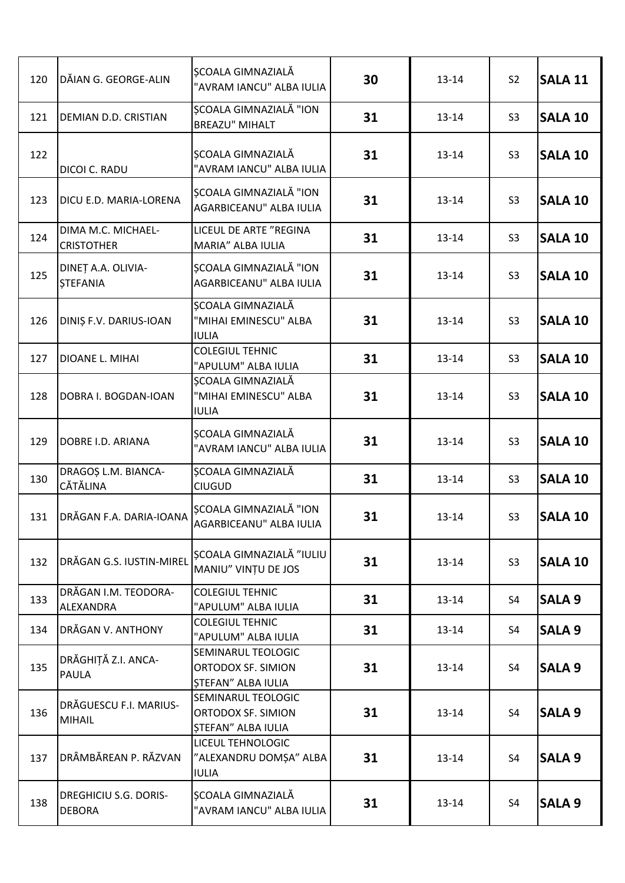| 120 | DĂIAN G. GEORGE-ALIN                          | <b>SCOALA GIMNAZIALĂ</b><br>"AVRAM IANCU" ALBA IULIA                  | 30 | $13 - 14$ | S <sub>2</sub> | <b>SALA 11</b> |
|-----|-----------------------------------------------|-----------------------------------------------------------------------|----|-----------|----------------|----------------|
| 121 | DEMIAN D.D. CRISTIAN                          | ȘCOALA GIMNAZIALĂ "ION<br><b>BREAZU" MIHALT</b>                       | 31 | $13 - 14$ | S <sub>3</sub> | <b>SALA 10</b> |
| 122 | DICOI C. RADU                                 | ȘCOALA GIMNAZIALĂ<br>"AVRAM IANCU" ALBA IULIA                         | 31 | $13 - 14$ | S <sub>3</sub> | <b>SALA 10</b> |
| 123 | DICU E.D. MARIA-LORENA                        | SCOALA GIMNAZIALĂ "ION<br>AGARBICEANU" ALBA IULIA                     | 31 | $13 - 14$ | S <sub>3</sub> | <b>SALA 10</b> |
| 124 | DIMA M.C. MICHAEL-<br><b>CRISTOTHER</b>       | LICEUL DE ARTE "REGINA<br>MARIA" ALBA IULIA                           | 31 | $13 - 14$ | S <sub>3</sub> | <b>SALA 10</b> |
| 125 | DINET A.A. OLIVIA-<br><b>STEFANIA</b>         | ȘCOALA GIMNAZIALĂ "ION<br>AGARBICEANU" ALBA IULIA                     | 31 | $13 - 14$ | S <sub>3</sub> | <b>SALA 10</b> |
| 126 | DINIȘ F.V. DARIUS-IOAN                        | ȘCOALA GIMNAZIALĂ<br>"MIHAI EMINESCU" ALBA<br><b>IULIA</b>            | 31 | $13 - 14$ | S <sub>3</sub> | <b>SALA 10</b> |
| 127 | DIOANE L. MIHAI                               | <b>COLEGIUL TEHNIC</b><br>"APULUM" ALBA IULIA                         | 31 | $13 - 14$ | S <sub>3</sub> | <b>SALA 10</b> |
| 128 | DOBRA I. BOGDAN-IOAN                          | ȘCOALA GIMNAZIALĂ<br>"MIHAI EMINESCU" ALBA<br><b>IULIA</b>            | 31 | $13 - 14$ | S <sub>3</sub> | <b>SALA 10</b> |
| 129 | DOBRE I.D. ARIANA                             | SCOALA GIMNAZIALĂ<br>"AVRAM IANCU" ALBA IULIA                         | 31 | $13 - 14$ | S <sub>3</sub> | <b>SALA 10</b> |
| 130 | DRAGOȘ L.M. BIANCA-<br>CĂTĂLINA               | SCOALA GIMNAZIALĂ<br><b>CIUGUD</b>                                    | 31 | $13 - 14$ | S <sub>3</sub> | <b>SALA 10</b> |
| 131 | DRĂGAN F.A. DARIA-IOANA                       | ȘCOALA GIMNAZIALĂ "ION<br>AGARBICEANU" ALBA IULIA                     | 31 | $13 - 14$ | S <sub>3</sub> | <b>SALA 10</b> |
| 132 | DRĂGAN G.S. IUSTIN-MIREL                      | <b>SCOALA GIMNAZIALĂ "IULIU</b><br>MANIU" VINȚU DE JOS                | 31 | $13 - 14$ | S <sub>3</sub> | <b>SALA 10</b> |
| 133 | DRĂGAN I.M. TEODORA-<br>ALEXANDRA             | <b>COLEGIUL TEHNIC</b><br>"APULUM" ALBA IULIA                         | 31 | $13 - 14$ | S4             | <b>SALA 9</b>  |
| 134 | DRĂGAN V. ANTHONY                             | <b>COLEGIUL TEHNIC</b><br>"APULUM" ALBA IULIA                         | 31 | $13 - 14$ | S4             | <b>SALA 9</b>  |
| 135 | DRĂGHIȚĂ Z.I. ANCA-<br><b>PAULA</b>           | SEMINARUL TEOLOGIC<br>ORTODOX SF. SIMION<br>STEFAN" ALBA IULIA        | 31 | $13 - 14$ | S <sub>4</sub> | <b>SALA 9</b>  |
| 136 | DRĂGUESCU F.I. MARIUS-<br><b>MIHAIL</b>       | SEMINARUL TEOLOGIC<br>ORTODOX SF. SIMION<br><b>STEFAN" ALBA IULIA</b> | 31 | $13 - 14$ | S4             | <b>SALA 9</b>  |
| 137 | DRÂMBĂREAN P. RĂZVAN                          | LICEUL TEHNOLOGIC<br>"ALEXANDRU DOMȘA" ALBA<br><b>IULIA</b>           | 31 | $13 - 14$ | S4             | <b>SALA 9</b>  |
| 138 | <b>DREGHICIU S.G. DORIS-</b><br><b>DEBORA</b> | SCOALA GIMNAZIALĂ<br>"AVRAM IANCU" ALBA IULIA                         | 31 | $13 - 14$ | S4             | <b>SALA 9</b>  |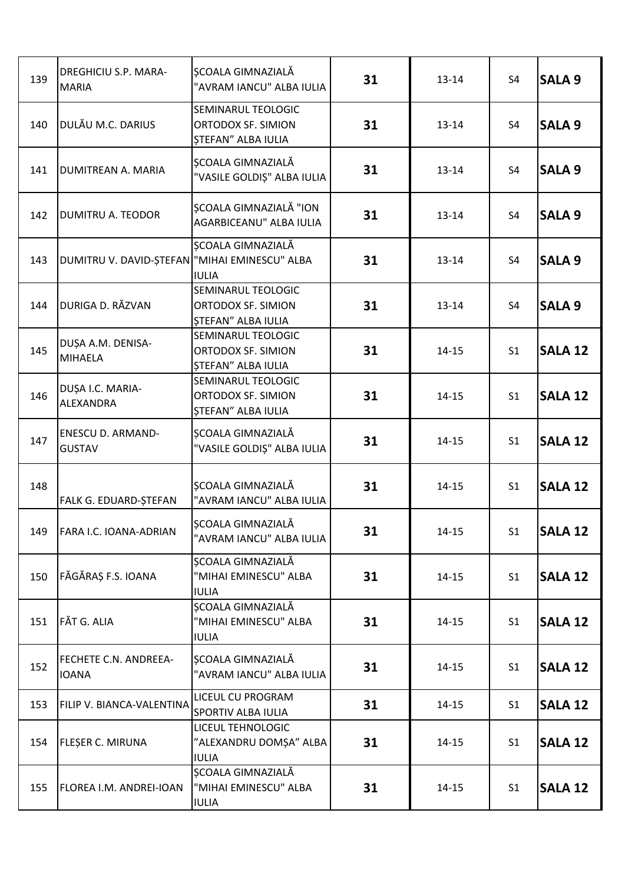| 139 | <b>DREGHICIU S.P. MARA-</b><br><b>MARIA</b>   | SCOALA GIMNAZIALĂ<br>"AVRAM IANCU" ALBA IULIA                         | 31 | $13 - 14$ | S <sub>4</sub> | <b>SALA 9</b>  |
|-----|-----------------------------------------------|-----------------------------------------------------------------------|----|-----------|----------------|----------------|
| 140 | DULĂU M.C. DARIUS                             | SEMINARUL TEOLOGIC<br>ORTODOX SF. SIMION<br>ȘTEFAN" ALBA IULIA        | 31 | $13 - 14$ | S4             | <b>SALA 9</b>  |
| 141 | DUMITREAN A. MARIA                            | <b>SCOALA GIMNAZIALĂ</b><br>"VASILE GOLDIȘ" ALBA IULIA                | 31 | $13 - 14$ | S <sub>4</sub> | <b>SALA 9</b>  |
| 142 | DUMITRU A. TEODOR                             | <b>SCOALA GIMNAZIALĂ "ION</b><br>AGARBICEANU" ALBA IULIA              | 31 | $13 - 14$ | S <sub>4</sub> | <b>SALA 9</b>  |
| 143 | DUMITRU V. DAVID-ȘTEFAN "MIHAI EMINESCU" ALBA | ȘCOALA GIMNAZIALĂ<br><b>IULIA</b>                                     | 31 | $13 - 14$ | S <sub>4</sub> | <b>SALA 9</b>  |
| 144 | DURIGA D. RĂZVAN                              | SEMINARUL TEOLOGIC<br>ORTODOX SF. SIMION<br><b>STEFAN" ALBA IULIA</b> | 31 | $13 - 14$ | S <sub>4</sub> | <b>SALA 9</b>  |
| 145 | DUȘA A.M. DENISA-<br><b>MIHAELA</b>           | SEMINARUL TEOLOGIC<br>ORTODOX SF. SIMION<br>STEFAN" ALBA IULIA        | 31 | $14 - 15$ | S <sub>1</sub> | <b>SALA 12</b> |
| 146 | DUȘA I.C. MARIA-<br>ALEXANDRA                 | SEMINARUL TEOLOGIC<br>ORTODOX SF. SIMION<br>ȘTEFAN" ALBA IULIA        | 31 | $14 - 15$ | S <sub>1</sub> | <b>SALA 12</b> |
| 147 | <b>ENESCU D. ARMAND-</b><br><b>GUSTAV</b>     | <b>SCOALA GIMNAZIALĂ</b><br>"VASILE GOLDIȘ" ALBA IULIA                | 31 | $14 - 15$ | S <sub>1</sub> | <b>SALA 12</b> |
| 148 | FALK G. EDUARD-ȘTEFAN                         | ȘCOALA GIMNAZIALĂ<br>"AVRAM IANCU" ALBA IULIA                         | 31 | $14 - 15$ | S <sub>1</sub> | <b>SALA 12</b> |
| 149 | <b>FARA I.C. IOANA-ADRIAN</b>                 | ȘCOALA GIMNAZIALĂ<br>"AVRAM IANCU" ALBA IULIA                         | 31 | $14 - 15$ | S <sub>1</sub> | <b>SALA 12</b> |
| 150 | FĂGĂRAȘ F.S. IOANA                            | <b>SCOALA GIMNAZIALĂ</b><br>"MIHAI EMINESCU" ALBA<br><b>IULIA</b>     | 31 | $14 - 15$ | S <sub>1</sub> | <b>SALA 12</b> |
| 151 | FĂT G. ALIA                                   | ȘCOALA GIMNAZIALĂ<br>"MIHAI EMINESCU" ALBA<br><b>IULIA</b>            | 31 | $14 - 15$ | S <sub>1</sub> | <b>SALA 12</b> |
| 152 | <b>FECHETE C.N. ANDREEA-</b><br><b>IOANA</b>  | SCOALA GIMNAZIALĂ<br>"AVRAM IANCU" ALBA IULIA                         | 31 | $14 - 15$ | S <sub>1</sub> | <b>SALA 12</b> |
| 153 | FILIP V. BIANCA-VALENTINA                     | LICEUL CU PROGRAM<br>SPORTIV ALBA IULIA                               | 31 | $14 - 15$ | S <sub>1</sub> | <b>SALA 12</b> |
| 154 | FLESER C. MIRUNA                              | LICEUL TEHNOLOGIC<br>"ALEXANDRU DOMȘA" ALBA<br><b>IULIA</b>           | 31 | $14 - 15$ | S <sub>1</sub> | <b>SALA 12</b> |
| 155 | FLOREA I.M. ANDREI-IOAN                       | ȘCOALA GIMNAZIALĂ<br>"MIHAI EMINESCU" ALBA<br><b>IULIA</b>            | 31 | $14 - 15$ | S <sub>1</sub> | <b>SALA 12</b> |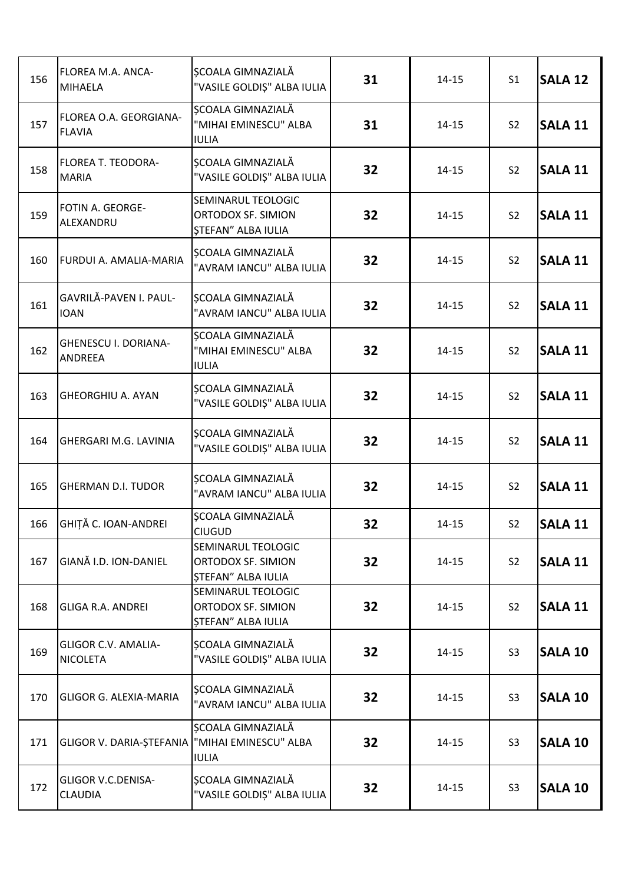| 156 | FLOREA M.A. ANCA-<br>MIHAELA                  | ȘCOALA GIMNAZIALĂ<br>"VASILE GOLDIȘ" ALBA IULIA                       | 31 | $14 - 15$ | S <sub>1</sub> | <b>SALA 12</b> |
|-----|-----------------------------------------------|-----------------------------------------------------------------------|----|-----------|----------------|----------------|
| 157 | FLOREA O.A. GEORGIANA-<br><b>FLAVIA</b>       | <b>SCOALA GIMNAZIALĂ</b><br>"MIHAI EMINESCU" ALBA<br><b>IULIA</b>     | 31 | $14 - 15$ | S <sub>2</sub> | <b>SALA 11</b> |
| 158 | <b>FLOREA T. TEODORA-</b><br><b>MARIA</b>     | SCOALA GIMNAZIALĂ<br>"VASILE GOLDIȘ" ALBA IULIA                       | 32 | $14 - 15$ | S <sub>2</sub> | <b>SALA 11</b> |
| 159 | FOTIN A. GEORGE-<br>ALEXANDRU                 | SEMINARUL TEOLOGIC<br>ORTODOX SF. SIMION<br><b>ȘTEFAN" ALBA IULIA</b> | 32 | $14 - 15$ | S <sub>2</sub> | <b>SALA 11</b> |
| 160 | FURDUI A. AMALIA-MARIA                        | SCOALA GIMNAZIALĂ<br>"AVRAM IANCU" ALBA IULIA                         | 32 | $14 - 15$ | S <sub>2</sub> | <b>SALA 11</b> |
| 161 | GAVRILĂ-PAVEN I. PAUL-<br><b>IOAN</b>         | ȘCOALA GIMNAZIALĂ<br>"AVRAM IANCU" ALBA IULIA                         | 32 | $14 - 15$ | S <sub>2</sub> | <b>SALA 11</b> |
| 162 | <b>GHENESCU I. DORIANA-</b><br>ANDREEA        | ȘCOALA GIMNAZIALĂ<br>"MIHAI EMINESCU" ALBA<br><b>IULIA</b>            | 32 | $14 - 15$ | S <sub>2</sub> | <b>SALA 11</b> |
| 163 | <b>GHEORGHIU A. AYAN</b>                      | ȘCOALA GIMNAZIALĂ<br>"VASILE GOLDIȘ" ALBA IULIA                       | 32 | $14 - 15$ | S <sub>2</sub> | <b>SALA 11</b> |
| 164 | GHERGARI M.G. LAVINIA                         | SCOALA GIMNAZIALĂ<br>"VASILE GOLDIȘ" ALBA IULIA                       | 32 | $14 - 15$ | S <sub>2</sub> | <b>SALA 11</b> |
| 165 | <b>GHERMAN D.I. TUDOR</b>                     | SCOALA GIMNAZIALĂ<br>"AVRAM IANCU" ALBA IULIA                         | 32 | $14 - 15$ | S <sub>2</sub> | <b>SALA 11</b> |
| 166 | GHIȚĂ C. IOAN-ANDREI                          | ȘCOALA GIMNAZIALĂ<br><b>CIUGUD</b>                                    | 32 | $14 - 15$ | S <sub>2</sub> | <b>SALA 11</b> |
| 167 | GIANĂ I.D. ION-DANIEL                         | SEMINARUL TEOLOGIC<br>ORTODOX SF. SIMION<br>STEFAN" ALBA IULIA        | 32 | $14 - 15$ | S <sub>2</sub> | <b>SALA 11</b> |
| 168 | <b>GLIGA R.A. ANDREI</b>                      | SEMINARUL TEOLOGIC<br>ORTODOX SF. SIMION<br>ȘTEFAN" ALBA IULIA        | 32 | $14 - 15$ | S <sub>2</sub> | <b>SALA 11</b> |
| 169 | <b>GLIGOR C.V. AMALIA-</b><br><b>NICOLETA</b> | SCOALA GIMNAZIALĂ<br>"VASILE GOLDIȘ" ALBA IULIA                       | 32 | $14 - 15$ | S <sub>3</sub> | <b>SALA 10</b> |
| 170 | <b>GLIGOR G. ALEXIA-MARIA</b>                 | <b>SCOALA GIMNAZIALĂ</b><br>"AVRAM IANCU" ALBA IULIA                  | 32 | $14 - 15$ | S <sub>3</sub> | <b>SALA 10</b> |
| 171 | GLIGOR V. DARIA-ȘTEFANIA                      | ȘCOALA GIMNAZIALĂ<br>"MIHAI EMINESCU" ALBA<br><b>IULIA</b>            | 32 | $14 - 15$ | S <sub>3</sub> | <b>SALA 10</b> |
| 172 | <b>GLIGOR V.C.DENISA-</b><br><b>CLAUDIA</b>   | <b>SCOALA GIMNAZIALĂ</b><br>"VASILE GOLDIȘ" ALBA IULIA                | 32 | $14 - 15$ | S <sub>3</sub> | <b>SALA 10</b> |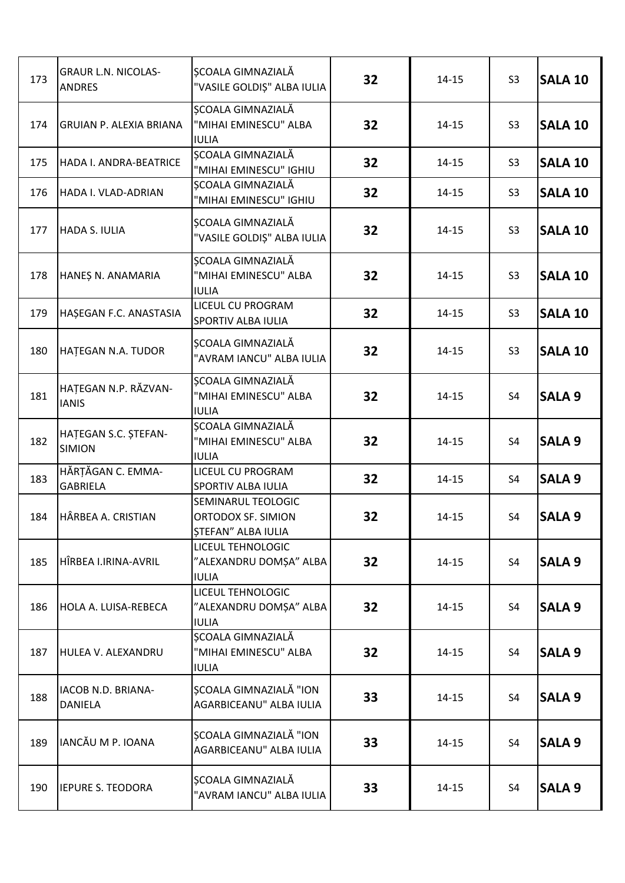| 173 | <b>GRAUR L.N. NICOLAS-</b><br><b>ANDRES</b> | SCOALA GIMNAZIALĂ<br>"VASILE GOLDIȘ" ALBA IULIA                       | 32 | $14 - 15$ | S <sub>3</sub> | <b>SALA 10</b> |
|-----|---------------------------------------------|-----------------------------------------------------------------------|----|-----------|----------------|----------------|
| 174 | <b>GRUIAN P. ALEXIA BRIANA</b>              | ȘCOALA GIMNAZIALĂ<br>"MIHAI EMINESCU" ALBA<br><b>IULIA</b>            | 32 | $14 - 15$ | S <sub>3</sub> | <b>SALA 10</b> |
| 175 | HADA I. ANDRA-BEATRICE                      | ȘCOALA GIMNAZIALĂ<br>"MIHAI EMINESCU" IGHIU                           | 32 | $14 - 15$ | S <sub>3</sub> | <b>SALA 10</b> |
| 176 | HADA I. VLAD-ADRIAN                         | ȘCOALA GIMNAZIALĂ<br>"MIHAI EMINESCU" IGHIU                           | 32 | $14 - 15$ | S <sub>3</sub> | <b>SALA 10</b> |
| 177 | <b>HADA S. IULIA</b>                        | SCOALA GIMNAZIALĂ<br>"VASILE GOLDIȘ" ALBA IULIA                       | 32 | $14 - 15$ | S <sub>3</sub> | <b>SALA 10</b> |
| 178 | HANEȘ N. ANAMARIA                           | ȘCOALA GIMNAZIALĂ<br>"MIHAI EMINESCU" ALBA<br><b>IULIA</b>            | 32 | $14 - 15$ | S <sub>3</sub> | <b>SALA 10</b> |
| 179 | HAȘEGAN F.C. ANASTASIA                      | LICEUL CU PROGRAM<br>SPORTIV ALBA IULIA                               | 32 | $14 - 15$ | S <sub>3</sub> | <b>SALA 10</b> |
| 180 | HATEGAN N.A. TUDOR                          | <b>SCOALA GIMNAZIALĂ</b><br>"AVRAM IANCU" ALBA IULIA                  | 32 | $14 - 15$ | S <sub>3</sub> | <b>SALA 10</b> |
| 181 | HATEGAN N.P. RĂZVAN-<br><b>IANIS</b>        | ȘCOALA GIMNAZIALĂ<br>"MIHAI EMINESCU" ALBA<br><b>IULIA</b>            | 32 | $14 - 15$ | S <sub>4</sub> | <b>SALA 9</b>  |
| 182 | HATEGAN S.C. STEFAN-<br><b>SIMION</b>       | ȘCOALA GIMNAZIALĂ<br>"MIHAI EMINESCU" ALBA<br><b>IULIA</b>            | 32 | $14 - 15$ | S <sub>4</sub> | <b>SALA 9</b>  |
| 183 | HĂRȚĂGAN C. EMMA-<br><b>GABRIELA</b>        | LICEUL CU PROGRAM<br>SPORTIV ALBA IULIA                               | 32 | $14 - 15$ | S <sub>4</sub> | <b>SALA 9</b>  |
| 184 | HÂRBEA A. CRISTIAN                          | SEMINARUL TEOLOGIC<br>ORTODOX SF. SIMION<br><b>ȘTEFAN" ALBA IULIA</b> | 32 | $14 - 15$ | S <sub>4</sub> | <b>SALA 9</b>  |
| 185 | HÎRBEA I.IRINA-AVRIL                        | LICEUL TEHNOLOGIC<br>"ALEXANDRU DOMȘA" ALBA<br><b>IULIA</b>           | 32 | $14 - 15$ | S4             | <b>SALA 9</b>  |
| 186 | HOLA A. LUISA-REBECA                        | LICEUL TEHNOLOGIC<br>"ALEXANDRU DOMȘA" ALBA<br><b>IULIA</b>           | 32 | $14 - 15$ | S4             | <b>SALA 9</b>  |
| 187 | HULEA V. ALEXANDRU                          | SCOALA GIMNAZIALĂ<br>"MIHAI EMINESCU" ALBA<br><b>IULIA</b>            | 32 | $14 - 15$ | S <sub>4</sub> | <b>SALA 9</b>  |
| 188 | IACOB N.D. BRIANA-<br>DANIELA               | <b>SCOALA GIMNAZIALĂ "ION</b><br>AGARBICEANU" ALBA IULIA              | 33 | $14 - 15$ | S4             | <b>SALA 9</b>  |
| 189 | IANCĂU M P. IOANA                           | <b>SCOALA GIMNAZIALĂ "ION</b><br>AGARBICEANU" ALBA IULIA              | 33 | $14 - 15$ | S4             | <b>SALA 9</b>  |
| 190 | <b>IEPURE S. TEODORA</b>                    | SCOALA GIMNAZIALĂ<br>"AVRAM IANCU" ALBA IULIA                         | 33 | $14 - 15$ | S4             | <b>SALA 9</b>  |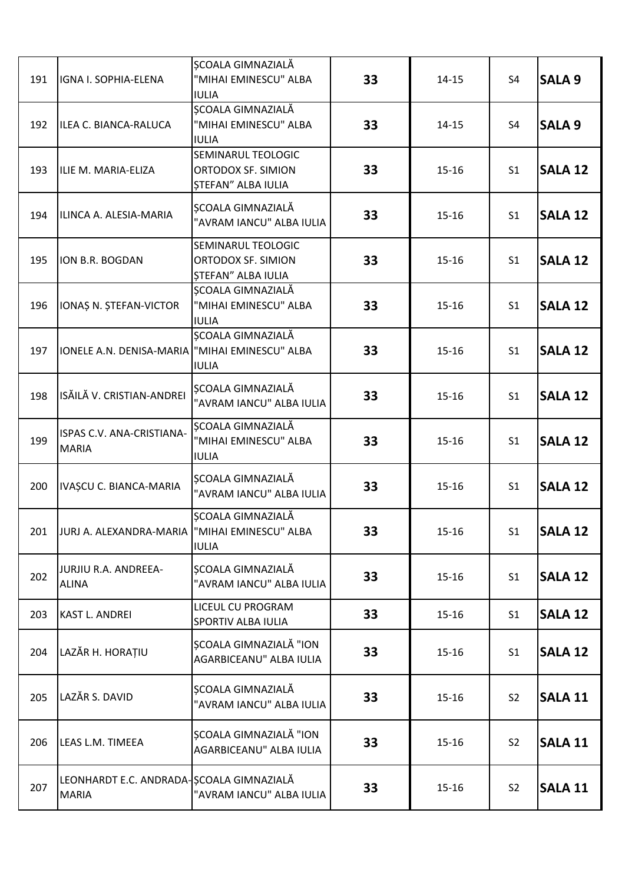| 191 | IGNA I. SOPHIA-ELENA                                     | ȘCOALA GIMNAZIALĂ<br>"MIHAI EMINESCU" ALBA<br><b>IULIA</b>            | 33 | $14 - 15$ | S <sub>4</sub> | <b>SALA 9</b>  |
|-----|----------------------------------------------------------|-----------------------------------------------------------------------|----|-----------|----------------|----------------|
| 192 | ILEA C. BIANCA-RALUCA                                    | ȘCOALA GIMNAZIALĂ<br>"MIHAI EMINESCU" ALBA<br><b>IULIA</b>            | 33 | $14 - 15$ | S <sub>4</sub> | <b>SALA 9</b>  |
| 193 | ILIE M. MARIA-ELIZA                                      | SEMINARUL TEOLOGIC<br>ORTODOX SF. SIMION<br>ȘTEFAN" ALBA IULIA        | 33 | $15 - 16$ | S <sub>1</sub> | <b>SALA 12</b> |
| 194 | ILINCA A. ALESIA-MARIA                                   | <b>SCOALA GIMNAZIALĂ</b><br>"AVRAM IANCU" ALBA IULIA                  | 33 | $15 - 16$ | S <sub>1</sub> | <b>SALA 12</b> |
| 195 | ION B.R. BOGDAN                                          | SEMINARUL TEOLOGIC<br>ORTODOX SF. SIMION<br><b>ȘTEFAN" ALBA IULIA</b> | 33 | $15 - 16$ | S <sub>1</sub> | <b>SALA 12</b> |
| 196 | IONAȘ N. ȘTEFAN-VICTOR                                   | SCOALA GIMNAZIALĂ<br>"MIHAI EMINESCU" ALBA<br><b>IULIA</b>            | 33 | $15 - 16$ | S <sub>1</sub> | <b>SALA 12</b> |
| 197 | IONELE A.N. DENISA-MARIA   "MIHAI EMINESCU" ALBA         | ȘCOALA GIMNAZIALĂ<br><b>IULIA</b>                                     | 33 | $15 - 16$ | S <sub>1</sub> | <b>SALA 12</b> |
| 198 | ISĂILĂ V. CRISTIAN-ANDREI                                | SCOALA GIMNAZIALĂ<br>"AVRAM IANCU" ALBA IULIA                         | 33 | $15 - 16$ | S <sub>1</sub> | <b>SALA 12</b> |
| 199 | ISPAS C.V. ANA-CRISTIANA-<br><b>MARIA</b>                | ȘCOALA GIMNAZIALĂ<br>"MIHAI EMINESCU" ALBA<br><b>IULIA</b>            | 33 | $15 - 16$ | S <sub>1</sub> | <b>SALA 12</b> |
| 200 | IVAȘCU C. BIANCA-MARIA                                   | ȘCOALA GIMNAZIALĂ<br>"AVRAM IANCU" ALBA IULIA                         | 33 | $15 - 16$ | S <sub>1</sub> | <b>SALA 12</b> |
| 201 | JURJ A. ALEXANDRA-MARIA   "MIHAI EMINESCU" ALBA          | ȘCOALA GIMNAZIALĂ<br><b>IULIA</b>                                     | 33 | $15 - 16$ | S <sub>1</sub> | <b>SALA 12</b> |
| 202 | JURJIU R.A. ANDREEA-<br><b>ALINA</b>                     | ȘCOALA GIMNAZIALĂ<br>"AVRAM IANCU" ALBA IULIA                         | 33 | $15 - 16$ | S <sub>1</sub> | <b>SALA 12</b> |
| 203 | KAST L. ANDREI                                           | LICEUL CU PROGRAM<br>SPORTIV ALBA IULIA                               | 33 | $15 - 16$ | S <sub>1</sub> | <b>SALA 12</b> |
| 204 | LAZĂR H. HORAȚIU                                         | SCOALA GIMNAZIALĂ "ION<br>AGARBICEANU" ALBA IULIA                     | 33 | $15 - 16$ | S <sub>1</sub> | <b>SALA 12</b> |
| 205 | LAZĂR S. DAVID                                           | ȘCOALA GIMNAZIALĂ<br>"AVRAM IANCU" ALBA IULIA                         | 33 | $15 - 16$ | S <sub>2</sub> | <b>SALA 11</b> |
| 206 | LEAS L.M. TIMEEA                                         | <b>SCOALA GIMNAZIALĂ "ION</b><br>AGARBICEANU" ALBA IULIA              | 33 | $15 - 16$ | S <sub>2</sub> | <b>SALA 11</b> |
| 207 | LEONHARDT E.C. ANDRADA SCOALA GIMNAZIALĂ<br><b>MARIA</b> | "AVRAM IANCU" ALBA IULIA                                              | 33 | $15 - 16$ | S <sub>2</sub> | <b>SALA 11</b> |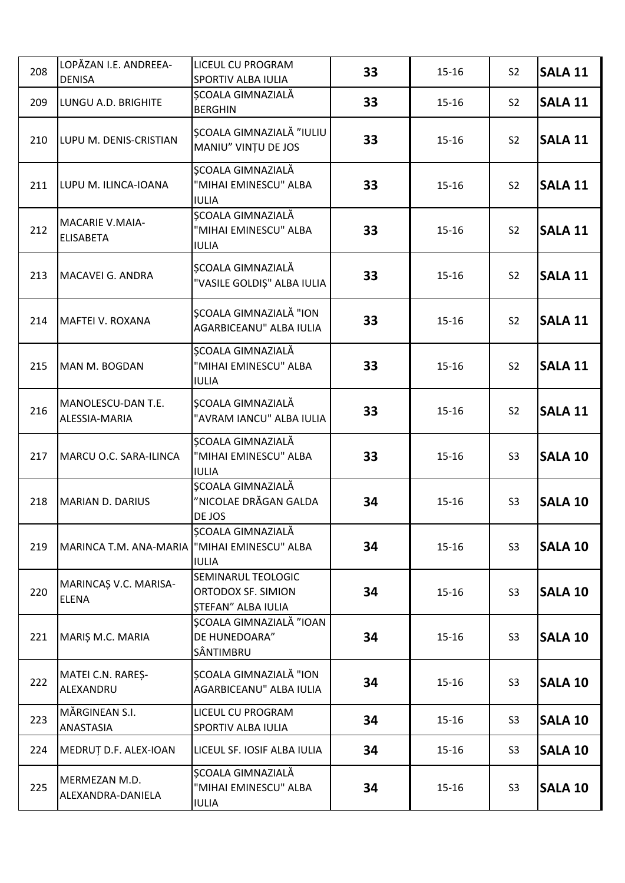| 208 | LOPĂZAN I.E. ANDREEA-<br><b>DENISA</b>     | LICEUL CU PROGRAM<br>SPORTIV ALBA IULIA                               | 33 | $15 - 16$ | S <sub>2</sub> | <b>SALA 11</b> |
|-----|--------------------------------------------|-----------------------------------------------------------------------|----|-----------|----------------|----------------|
| 209 | LUNGU A.D. BRIGHITE                        | ȘCOALA GIMNAZIALĂ<br><b>BERGHIN</b>                                   | 33 | $15 - 16$ | S <sub>2</sub> | <b>SALA 11</b> |
| 210 | LUPU M. DENIS-CRISTIAN                     | SCOALA GIMNAZIALĂ "IULIU<br>MANIU" VINȚU DE JOS                       | 33 | $15 - 16$ | S <sub>2</sub> | <b>SALA 11</b> |
| 211 | LUPU M. ILINCA-IOANA                       | ȘCOALA GIMNAZIALĂ<br>"MIHAI EMINESCU" ALBA<br><b>IULIA</b>            | 33 | $15 - 16$ | S <sub>2</sub> | <b>SALA 11</b> |
| 212 | <b>MACARIE V.MAIA-</b><br><b>ELISABETA</b> | <b>SCOALA GIMNAZIALĂ</b><br>"MIHAI EMINESCU" ALBA<br><b>IULIA</b>     | 33 | $15 - 16$ | S <sub>2</sub> | <b>SALA 11</b> |
| 213 | MACAVEI G. ANDRA                           | ȘCOALA GIMNAZIALĂ<br>"VASILE GOLDIȘ" ALBA IULIA                       | 33 | $15 - 16$ | S <sub>2</sub> | <b>SALA 11</b> |
| 214 | MAFTEI V. ROXANA                           | <b>SCOALA GIMNAZIALĂ "ION</b><br>AGARBICEANU" ALBA IULIA              | 33 | $15 - 16$ | S <sub>2</sub> | <b>SALA 11</b> |
| 215 | MAN M. BOGDAN                              | <b>SCOALA GIMNAZIALĂ</b><br>"MIHAI EMINESCU" ALBA<br><b>IULIA</b>     | 33 | $15 - 16$ | S <sub>2</sub> | <b>SALA 11</b> |
| 216 | MANOLESCU-DAN T.E.<br>ALESSIA-MARIA        | SCOALA GIMNAZIALĂ<br>"AVRAM IANCU" ALBA IULIA                         | 33 | $15 - 16$ | S <sub>2</sub> | <b>SALA 11</b> |
| 217 | MARCU O.C. SARA-ILINCA                     | ȘCOALA GIMNAZIALĂ<br>"MIHAI EMINESCU" ALBA<br><b>IULIA</b>            | 33 | $15 - 16$ | S <sub>3</sub> | <b>SALA 10</b> |
| 218 | <b>MARIAN D. DARIUS</b>                    | SCOALA GIMNAZIALĂ<br>"NICOLAE DRĂGAN GALDA<br>DE JOS                  | 34 | $15 - 16$ | S <sub>3</sub> | <b>SALA 10</b> |
| 219 | MARINCA T.M. ANA-MARIA                     | <b>SCOALA GIMNAZIALĂ</b><br>"MIHAI EMINESCU" ALBA<br><b>IULIA</b>     | 34 | $15 - 16$ | S <sub>3</sub> | <b>SALA 10</b> |
| 220 | MARINCAȘ V.C. MARISA-<br><b>ELENA</b>      | SEMINARUL TEOLOGIC<br>ORTODOX SF. SIMION<br><b>STEFAN" ALBA IULIA</b> | 34 | $15 - 16$ | S <sub>3</sub> | <b>SALA 10</b> |
| 221 | MARIȘ M.C. MARIA                           | <b>SCOALA GIMNAZIALĂ "IOAN</b><br>DE HUNEDOARA"<br>SÂNTIMBRU          | 34 | $15 - 16$ | S <sub>3</sub> | <b>SALA 10</b> |
| 222 | MATEI C.N. RAREȘ-<br>ALEXANDRU             | ȘCOALA GIMNAZIALĂ "ION<br>AGARBICEANU" ALBA IULIA                     | 34 | $15 - 16$ | S <sub>3</sub> | <b>SALA 10</b> |
| 223 | MĂRGINEAN S.I.<br>ANASTASIA                | LICEUL CU PROGRAM<br>SPORTIV ALBA IULIA                               | 34 | $15 - 16$ | S <sub>3</sub> | <b>SALA 10</b> |
| 224 | MEDRUT D.F. ALEX-IOAN                      | LICEUL SF. IOSIF ALBA IULIA                                           | 34 | $15 - 16$ | S <sub>3</sub> | <b>SALA 10</b> |
| 225 | MERMEZAN M.D.<br>ALEXANDRA-DANIELA         | ȘCOALA GIMNAZIALĂ<br>"MIHAI EMINESCU" ALBA<br><b>IULIA</b>            | 34 | $15 - 16$ | S <sub>3</sub> | <b>SALA 10</b> |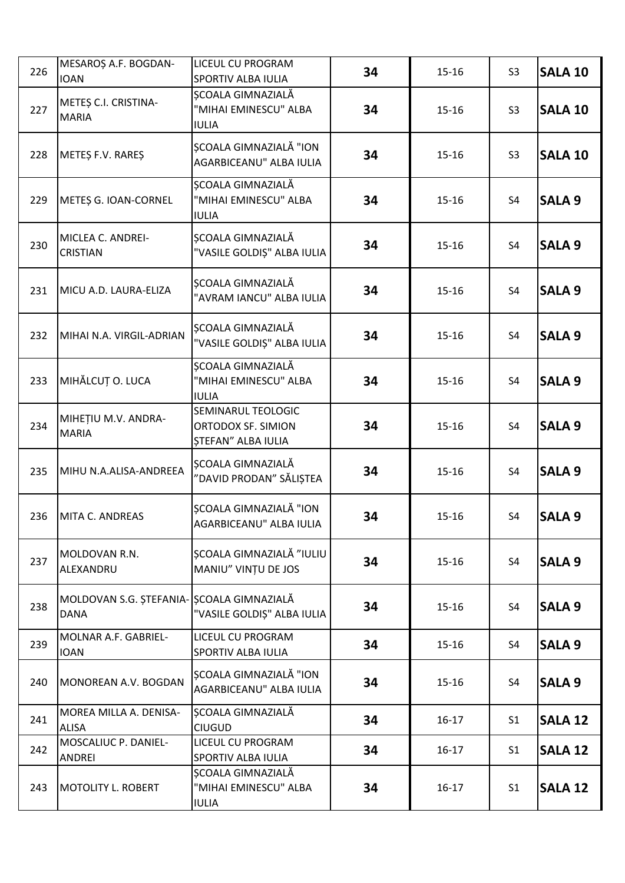| 226 | MESAROȘ A.F. BOGDAN-<br><b>IOAN</b>                      | LICEUL CU PROGRAM<br>SPORTIV ALBA IULIA                               | 34 | $15 - 16$ | S <sub>3</sub> | <b>SALA 10</b> |
|-----|----------------------------------------------------------|-----------------------------------------------------------------------|----|-----------|----------------|----------------|
| 227 | METEȘ C.I. CRISTINA-<br><b>MARIA</b>                     | SCOALA GIMNAZIALĂ<br>"MIHAI EMINESCU" ALBA<br><b>IULIA</b>            | 34 | $15 - 16$ | S <sub>3</sub> | <b>SALA 10</b> |
| 228 | METES F.V. RARES                                         | ȘCOALA GIMNAZIALĂ "ION<br>AGARBICEANU" ALBA IULIA                     | 34 | $15 - 16$ | S <sub>3</sub> | <b>SALA 10</b> |
| 229 | METEȘ G. IOAN-CORNEL                                     | ȘCOALA GIMNAZIALĂ<br>"MIHAI EMINESCU" ALBA<br><b>IULIA</b>            | 34 | $15 - 16$ | S4             | <b>SALA 9</b>  |
| 230 | MICLEA C. ANDREI-<br><b>CRISTIAN</b>                     | SCOALA GIMNAZIALĂ<br>"VASILE GOLDIȘ" ALBA IULIA                       | 34 | $15 - 16$ | S <sub>4</sub> | <b>SALA 9</b>  |
| 231 | MICU A.D. LAURA-ELIZA                                    | ȘCOALA GIMNAZIALĂ<br>"AVRAM IANCU" ALBA IULIA                         | 34 | $15 - 16$ | S4             | <b>SALA 9</b>  |
| 232 | MIHAI N.A. VIRGIL-ADRIAN                                 | SCOALA GIMNAZIALĂ<br>"VASILE GOLDIȘ" ALBA IULIA                       | 34 | $15 - 16$ | S <sub>4</sub> | <b>SALA 9</b>  |
| 233 | MIHĂLCUȚ O. LUCA                                         | ȘCOALA GIMNAZIALĂ<br>"MIHAI EMINESCU" ALBA<br><b>IULIA</b>            | 34 | $15 - 16$ | S <sub>4</sub> | <b>SALA 9</b>  |
| 234 | MIHETIU M.V. ANDRA-<br><b>MARIA</b>                      | SEMINARUL TEOLOGIC<br>ORTODOX SF. SIMION<br><b>ȘTEFAN" ALBA IULIA</b> | 34 | $15 - 16$ | S <sub>4</sub> | <b>SALA 9</b>  |
| 235 | MIHU N.A.ALISA-ANDREEA                                   | SCOALA GIMNAZIALĂ<br>"DAVID PRODAN" SĂLIȘTEA                          | 34 | $15 - 16$ | S4             | <b>SALA 9</b>  |
| 236 | MITA C. ANDREAS                                          | ȘCOALA GIMNAZIALĂ "ION<br>AGARBICEANU" ALBA IULIA                     | 34 | $15 - 16$ | S4             | <b>SALA 9</b>  |
| 237 | MOLDOVAN R.N.<br>ALEXANDRU                               | ȘCOALA GIMNAZIALĂ "IULIU<br>MANIU" VINȚU DE JOS                       | 34 | $15 - 16$ | S <sub>4</sub> | <b>SALA 9</b>  |
| 238 | MOLDOVAN S.G. ȘTEFANIA- ȘCOALA GIMNAZIALĂ<br><b>DANA</b> | "VASILE GOLDIȘ" ALBA IULIA                                            | 34 | $15 - 16$ | S4             | <b>SALA 9</b>  |
| 239 | MOLNAR A.F. GABRIEL-<br><b>IOAN</b>                      | LICEUL CU PROGRAM<br>SPORTIV ALBA IULIA                               | 34 | $15 - 16$ | S4             | <b>SALA 9</b>  |
| 240 | MONOREAN A.V. BOGDAN                                     | <b>SCOALA GIMNAZIALĂ "ION</b><br>AGARBICEANU" ALBA IULIA              | 34 | $15 - 16$ | S4             | <b>SALA 9</b>  |
| 241 | MOREA MILLA A. DENISA-<br><b>ALISA</b>                   | ȘCOALA GIMNAZIALĂ<br><b>CIUGUD</b>                                    | 34 | $16 - 17$ | S <sub>1</sub> | <b>SALA 12</b> |
| 242 | MOSCALIUC P. DANIEL-<br>ANDREI                           | LICEUL CU PROGRAM<br>SPORTIV ALBA IULIA                               | 34 | $16 - 17$ | S <sub>1</sub> | <b>SALA 12</b> |
| 243 | <b>MOTOLITY L. ROBERT</b>                                | ȘCOALA GIMNAZIALĂ<br>"MIHAI EMINESCU" ALBA<br><b>IULIA</b>            | 34 | $16 - 17$ | S <sub>1</sub> | <b>SALA 12</b> |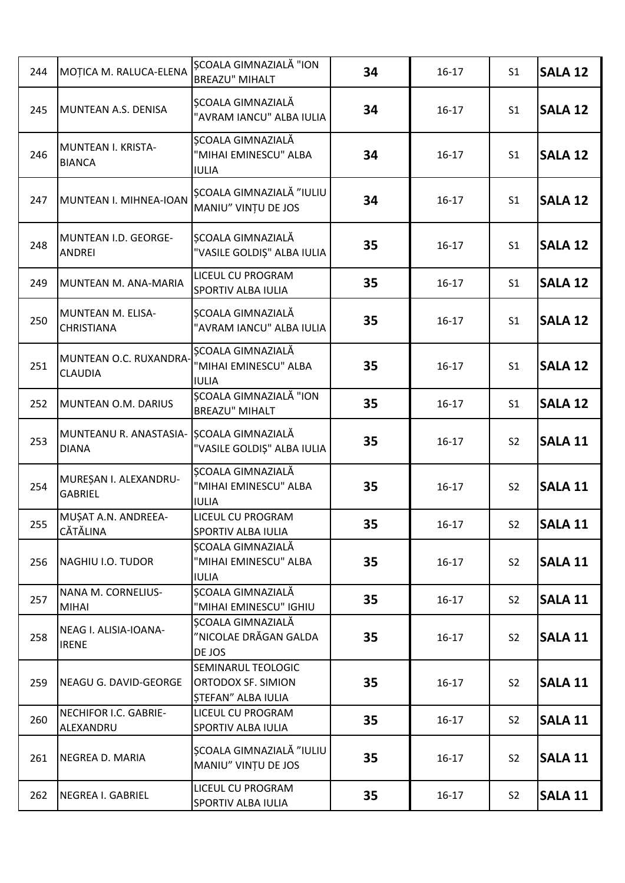| 244 | MOȚICA M. RALUCA-ELENA                   | ȘCOALA GIMNAZIALĂ "ION<br><b>BREAZU" MIHALT</b>                              | 34 | $16 - 17$ | S <sub>1</sub> | <b>SALA 12</b> |
|-----|------------------------------------------|------------------------------------------------------------------------------|----|-----------|----------------|----------------|
| 245 | MUNTEAN A.S. DENISA                      | ȘCOALA GIMNAZIALĂ<br>"AVRAM IANCU" ALBA IULIA                                | 34 | $16 - 17$ | S <sub>1</sub> | <b>SALA 12</b> |
| 246 | MUNTEAN I. KRISTA-<br><b>BIANCA</b>      | ȘCOALA GIMNAZIALĂ<br>"MIHAI EMINESCU" ALBA<br><b>IULIA</b>                   | 34 | $16 - 17$ | S <sub>1</sub> | <b>SALA 12</b> |
| 247 | MUNTEAN I. MIHNEA-IOAN                   | <b>SCOALA GIMNAZIALĂ "IULIU</b><br>MANIU" VINTU DE JOS                       | 34 | $16 - 17$ | S <sub>1</sub> | <b>SALA 12</b> |
| 248 | MUNTEAN I.D. GEORGE-<br><b>ANDREI</b>    | ȘCOALA GIMNAZIALĂ<br>"VASILE GOLDIȘ" ALBA IULIA                              | 35 | $16 - 17$ | S <sub>1</sub> | <b>SALA 12</b> |
| 249 | MUNTEAN M. ANA-MARIA                     | LICEUL CU PROGRAM<br>SPORTIV ALBA IULIA                                      | 35 | $16 - 17$ | S <sub>1</sub> | <b>SALA 12</b> |
| 250 | MUNTEAN M. ELISA-<br><b>CHRISTIANA</b>   | <b>SCOALA GIMNAZIALĂ</b><br>"AVRAM IANCU" ALBA IULIA                         | 35 | $16 - 17$ | S <sub>1</sub> | <b>SALA 12</b> |
| 251 | MUNTEAN O.C. RUXANDRA-<br><b>CLAUDIA</b> | SCOALA GIMNAZIALĂ<br>"MIHAI EMINESCU" ALBA<br><b>IULIA</b>                   | 35 | $16 - 17$ | S <sub>1</sub> | <b>SALA 12</b> |
| 252 | MUNTEAN O.M. DARIUS                      | ȘCOALA GIMNAZIALĂ "ION<br><b>BREAZU" MIHALT</b>                              | 35 | $16 - 17$ | S <sub>1</sub> | <b>SALA 12</b> |
| 253 | MUNTEANU R. ANASTASIA-<br><b>DIANA</b>   | ȘCOALA GIMNAZIALĂ<br>"VASILE GOLDIȘ" ALBA IULIA                              | 35 | $16 - 17$ | S <sub>2</sub> | <b>SALA 11</b> |
| 254 | MUREȘAN I. ALEXANDRU-<br><b>GABRIEL</b>  | SCOALA GIMNAZIALĂ<br>"MIHAI EMINESCU" ALBA<br><b>IULIA</b>                   | 35 | $16 - 17$ | S <sub>2</sub> | <b>SALA 11</b> |
| 255 | MUȘAT A.N. ANDREEA-<br><b>CĂTĂLINA</b>   | LICEUL CU PROGRAM<br><b>SPORTIV ALBA IULIA</b>                               | 35 | $16 - 17$ | S <sub>2</sub> | <b>SALA 11</b> |
| 256 | NAGHIU I.O. TUDOR                        | SCOALA GIMNAZIALĂ<br>"MIHAI EMINESCU" ALBA<br><b>IULIA</b>                   | 35 | $16 - 17$ | S <sub>2</sub> | <b>SALA 11</b> |
| 257 | NANA M. CORNELIUS-<br>MIHAI              | SCOALA GIMNAZIALĂ<br>"MIHAI EMINESCU" IGHIU                                  | 35 | $16 - 17$ | S <sub>2</sub> | <b>SALA 11</b> |
| 258 | NEAG I. ALISIA-IOANA-<br><b>IRENE</b>    | SCOALA GIMNAZIALĂ<br>"NICOLAE DRĂGAN GALDA<br>DE JOS                         | 35 | $16 - 17$ | S <sub>2</sub> | <b>SALA 11</b> |
| 259 | NEAGU G. DAVID-GEORGE                    | SEMINARUL TEOLOGIC<br><b>ORTODOX SF. SIMION</b><br><b>STEFAN" ALBA IULIA</b> | 35 | $16 - 17$ | S <sub>2</sub> | <b>SALA 11</b> |
| 260 | NECHIFOR I.C. GABRIE-<br>ALEXANDRU       | LICEUL CU PROGRAM<br>SPORTIV ALBA IULIA                                      | 35 | $16 - 17$ | S <sub>2</sub> | <b>SALA 11</b> |
| 261 | NEGREA D. MARIA                          | ȘCOALA GIMNAZIALĂ "IULIU<br>MANIU" VINȚU DE JOS                              | 35 | $16 - 17$ | S <sub>2</sub> | <b>SALA 11</b> |
| 262 | NEGREA I. GABRIEL                        | LICEUL CU PROGRAM<br>SPORTIV ALBA IULIA                                      | 35 | $16 - 17$ | S <sub>2</sub> | <b>SALA 11</b> |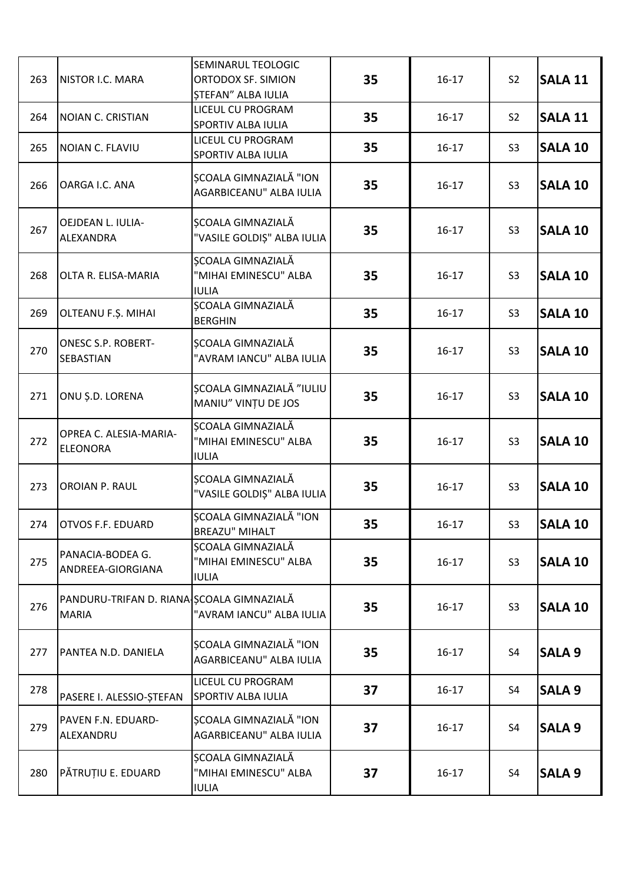| 263 | NISTOR I.C. MARA                                          | SEMINARUL TEOLOGIC<br>ORTODOX SF. SIMION<br><b>STEFAN" ALBA IULIA</b> | 35 | $16 - 17$ | S <sub>2</sub> | <b>SALA 11</b> |
|-----|-----------------------------------------------------------|-----------------------------------------------------------------------|----|-----------|----------------|----------------|
| 264 | NOIAN C. CRISTIAN                                         | LICEUL CU PROGRAM<br>SPORTIV ALBA IULIA                               | 35 | $16 - 17$ | S <sub>2</sub> | <b>SALA 11</b> |
| 265 | NOIAN C. FLAVIU                                           | LICEUL CU PROGRAM<br>SPORTIV ALBA IULIA                               | 35 | $16 - 17$ | S <sub>3</sub> | <b>SALA 10</b> |
| 266 | OARGA I.C. ANA                                            | ȘCOALA GIMNAZIALĂ "ION<br>AGARBICEANU" ALBA IULIA                     | 35 | $16 - 17$ | S <sub>3</sub> | <b>SALA 10</b> |
| 267 | OEJDEAN L. IULIA-<br>ALEXANDRA                            | ȘCOALA GIMNAZIALĂ<br>"VASILE GOLDIȘ" ALBA IULIA                       | 35 | $16 - 17$ | S <sub>3</sub> | <b>SALA 10</b> |
| 268 | OLTA R. ELISA-MARIA                                       | ȘCOALA GIMNAZIALĂ<br>"MIHAI EMINESCU" ALBA<br><b>IULIA</b>            | 35 | $16 - 17$ | S <sub>3</sub> | <b>SALA 10</b> |
| 269 | OLTEANU F.Ş. MIHAI                                        | ȘCOALA GIMNAZIALĂ<br><b>BERGHIN</b>                                   | 35 | $16 - 17$ | S <sub>3</sub> | <b>SALA 10</b> |
| 270 | <b>ONESC S.P. ROBERT-</b><br><b>SEBASTIAN</b>             | ȘCOALA GIMNAZIALĂ<br>"AVRAM IANCU" ALBA IULIA                         | 35 | $16 - 17$ | S <sub>3</sub> | <b>SALA 10</b> |
| 271 | ONU Ș.D. LORENA                                           | ȘCOALA GIMNAZIALĂ "IULIU<br>MANIU" VINȚU DE JOS                       | 35 | $16 - 17$ | S <sub>3</sub> | <b>SALA 10</b> |
| 272 | OPREA C. ALESIA-MARIA-<br><b>ELEONORA</b>                 | ȘCOALA GIMNAZIALĂ<br>"MIHAI EMINESCU" ALBA<br><b>IULIA</b>            | 35 | $16 - 17$ | S <sub>3</sub> | <b>SALA 10</b> |
| 273 | OROIAN P. RAUL                                            | ȘCOALA GIMNAZIALĂ<br>"VASILE GOLDIȘ" ALBA IULIA                       | 35 | $16 - 17$ | S <sub>3</sub> | <b>SALA 10</b> |
| 274 | <b>OTVOS F.F. EDUARD</b>                                  | ȘCOALA GIMNAZIALĂ "ION<br><b>BREAZU" MIHALT</b>                       | 35 | $16 - 17$ | S <sub>3</sub> | <b>SALA 10</b> |
| 275 | PANACIA-BODEA G.<br>ANDREEA-GIORGIANA                     | ȘCOALA GIMNAZIALĂ<br>"MIHAI EMINESCU" ALBA<br><b>IULIA</b>            | 35 | $16 - 17$ | S <sub>3</sub> | <b>SALA 10</b> |
| 276 | PANDURU-TRIFAN D. RIANA ȘCOALA GIMNAZIALĂ<br><b>MARIA</b> | "AVRAM IANCU" ALBA IULIA                                              | 35 | $16 - 17$ | S <sub>3</sub> | <b>SALA 10</b> |
| 277 | PANTEA N.D. DANIELA                                       | SCOALA GIMNAZIALĂ "ION<br>AGARBICEANU" ALBA IULIA                     | 35 | $16 - 17$ | S <sub>4</sub> | <b>SALA 9</b>  |
| 278 | PASERE I. ALESSIO-STEFAN                                  | LICEUL CU PROGRAM<br>SPORTIV ALBA IULIA                               | 37 | $16 - 17$ | S <sub>4</sub> | <b>SALA 9</b>  |
| 279 | PAVEN F.N. EDUARD-<br>ALEXANDRU                           | <b>SCOALA GIMNAZIALĂ "ION</b><br>AGARBICEANU" ALBA IULIA              | 37 | $16 - 17$ | S4             | <b>SALA 9</b>  |
| 280 | PĂTRUȚIU E. EDUARD                                        | ȘCOALA GIMNAZIALĂ<br>"MIHAI EMINESCU" ALBA<br><b>IULIA</b>            | 37 | $16 - 17$ | S4             | <b>SALA 9</b>  |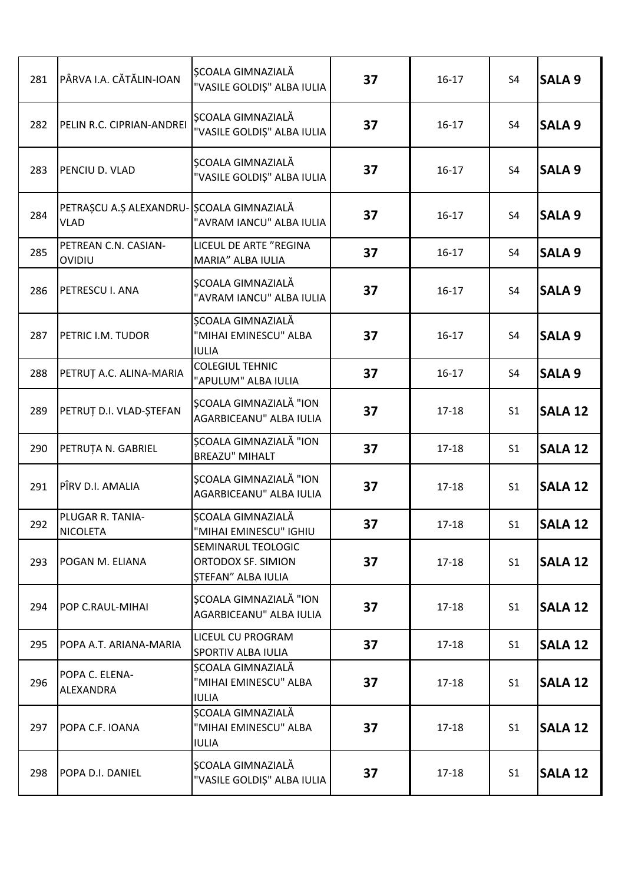| 281 | PÂRVA I.A. CĂTĂLIN-IOAN                                  | SCOALA GIMNAZIALĂ<br>"VASILE GOLDIȘ" ALBA IULIA                | 37 | $16 - 17$ | S <sub>4</sub> | <b>SALA 9</b>  |
|-----|----------------------------------------------------------|----------------------------------------------------------------|----|-----------|----------------|----------------|
| 282 | PELIN R.C. CIPRIAN-ANDREI                                | ȘCOALA GIMNAZIALĂ<br>"VASILE GOLDIȘ" ALBA IULIA                | 37 | $16-17$   | S4             | <b>SALA 9</b>  |
| 283 | PENCIU D. VLAD                                           | SCOALA GIMNAZIALĂ<br>"VASILE GOLDIȘ" ALBA IULIA                | 37 | $16 - 17$ | S <sub>4</sub> | <b>SALA 9</b>  |
| 284 | PETRAȘCU A.Ș ALEXANDRU- ȘCOALA GIMNAZIALĂ<br><b>VLAD</b> | "AVRAM IANCU" ALBA IULIA                                       | 37 | $16 - 17$ | S4             | <b>SALA 9</b>  |
| 285 | PETREAN C.N. CASIAN-<br>OVIDIU                           | LICEUL DE ARTE "REGINA<br>MARIA" ALBA IULIA                    | 37 | $16 - 17$ | S4             | <b>SALA 9</b>  |
| 286 | PETRESCU I. ANA                                          | ȘCOALA GIMNAZIALĂ<br>"AVRAM IANCU" ALBA IULIA                  | 37 | $16 - 17$ | S <sub>4</sub> | <b>SALA 9</b>  |
| 287 | PETRIC I.M. TUDOR                                        | ȘCOALA GIMNAZIALĂ<br>"MIHAI EMINESCU" ALBA<br><b>IULIA</b>     | 37 | $16 - 17$ | S <sub>4</sub> | <b>SALA 9</b>  |
| 288 | PETRUȚ A.C. ALINA-MARIA                                  | <b>COLEGIUL TEHNIC</b><br>"APULUM" ALBA IULIA                  | 37 | $16 - 17$ | S4             | <b>SALA 9</b>  |
| 289 | PETRUT D.I. VLAD-ȘTEFAN                                  | SCOALA GIMNAZIALĂ "ION<br>AGARBICEANU" ALBA IULIA              | 37 | 17-18     | S <sub>1</sub> | <b>SALA 12</b> |
| 290 | PETRUȚA N. GABRIEL                                       | ȘCOALA GIMNAZIALĂ "ION<br><b>BREAZU" MIHALT</b>                | 37 | 17-18     | S <sub>1</sub> | <b>SALA 12</b> |
| 291 | PÎRV D.I. AMALIA                                         | ȘCOALA GIMNAZIALĂ "ION<br>AGARBICEANU" ALBA IULIA              | 37 | 17-18     | S <sub>1</sub> | <b>SALA 12</b> |
| 292 | PLUGAR R. TANIA-<br><b>NICOLETA</b>                      | ȘCOALA GIMNAZIALĂ<br>"MIHAI EMINESCU" IGHIU                    | 37 | $17 - 18$ | S <sub>1</sub> | <b>SALA 12</b> |
| 293 | POGAN M. ELIANA                                          | SEMINARUL TEOLOGIC<br>ORTODOX SF. SIMION<br>STEFAN" ALBA IULIA | 37 | $17 - 18$ | S <sub>1</sub> | <b>SALA 12</b> |
| 294 | POP C.RAUL-MIHAI                                         | SCOALA GIMNAZIALĂ "ION<br>AGARBICEANU" ALBA IULIA              | 37 | $17 - 18$ | S <sub>1</sub> | <b>SALA 12</b> |
| 295 | POPA A.T. ARIANA-MARIA                                   | <b>LICEUL CU PROGRAM</b><br><b>SPORTIV ALBA IULIA</b>          | 37 | $17 - 18$ | S <sub>1</sub> | <b>SALA 12</b> |
| 296 | POPA C. ELENA-<br>ALEXANDRA                              | ȘCOALA GIMNAZIALĂ<br>"MIHAI EMINESCU" ALBA<br><b>IULIA</b>     | 37 | $17 - 18$ | S <sub>1</sub> | <b>SALA 12</b> |
| 297 | POPA C.F. IOANA                                          | ȘCOALA GIMNAZIALĂ<br>"MIHAI EMINESCU" ALBA<br><b>IULIA</b>     | 37 | $17 - 18$ | S <sub>1</sub> | <b>SALA 12</b> |
| 298 | POPA D.I. DANIEL                                         | ȘCOALA GIMNAZIALĂ<br>"VASILE GOLDIȘ" ALBA IULIA                | 37 | $17 - 18$ | S <sub>1</sub> | <b>SALA 12</b> |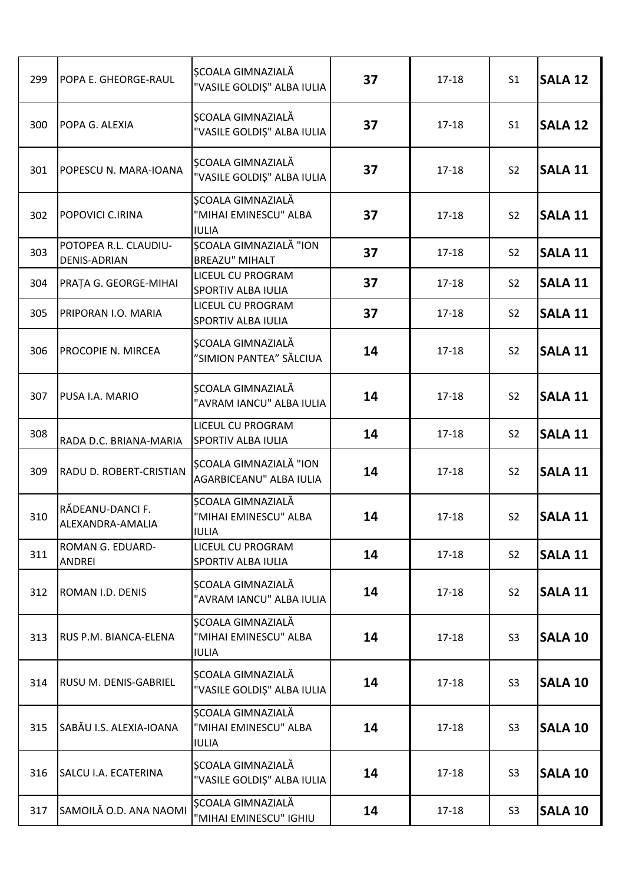| 299 | POPA E. GHEORGE-RAUL                         | <b>SCOALA GIMNAZIALĂ</b><br>"VASILE GOLDIȘ" ALBA IULIA            | 37 | $17 - 18$ | S <sub>1</sub> | <b>SALA 12</b> |
|-----|----------------------------------------------|-------------------------------------------------------------------|----|-----------|----------------|----------------|
| 300 | POPA G. ALEXIA                               | ȘCOALA GIMNAZIALĂ<br>"VASILE GOLDIȘ" ALBA IULIA                   | 37 | $17 - 18$ | S <sub>1</sub> | <b>SALA 12</b> |
| 301 | POPESCU N. MARA-IOANA                        | ȘCOALA GIMNAZIALĂ<br>"VASILE GOLDIȘ" ALBA IULIA                   | 37 | $17 - 18$ | S <sub>2</sub> | <b>SALA 11</b> |
| 302 | POPOVICI C.IRINA                             | <b>SCOALA GIMNAZIALĂ</b><br>"MIHAI EMINESCU" ALBA<br><b>IULIA</b> | 37 | $17 - 18$ | S <sub>2</sub> | <b>SALA 11</b> |
| 303 | POTOPEA R.L. CLAUDIU-<br><b>DENIS-ADRIAN</b> | ȘCOALA GIMNAZIALĂ "ION<br><b>BREAZU" MIHALT</b>                   | 37 | $17 - 18$ | S <sub>2</sub> | <b>SALA 11</b> |
| 304 | PRAȚA G. GEORGE-MIHAI                        | LICEUL CU PROGRAM<br>SPORTIV ALBA IULIA                           | 37 | $17 - 18$ | S <sub>2</sub> | <b>SALA 11</b> |
| 305 | PRIPORAN I.O. MARIA                          | LICEUL CU PROGRAM<br>SPORTIV ALBA IULIA                           | 37 | $17 - 18$ | S <sub>2</sub> | <b>SALA 11</b> |
| 306 | PROCOPIE N. MIRCEA                           | ȘCOALA GIMNAZIALĂ<br>"SIMION PANTEA" SĂLCIUA                      | 14 | $17 - 18$ | S <sub>2</sub> | <b>SALA 11</b> |
| 307 | PUSA I.A. MARIO                              | SCOALA GIMNAZIALĂ<br>"AVRAM IANCU" ALBA IULIA                     | 14 | $17 - 18$ | S <sub>2</sub> | <b>SALA 11</b> |
| 308 | RADA D.C. BRIANA-MARIA                       | LICEUL CU PROGRAM<br>SPORTIV ALBA IULIA                           | 14 | $17 - 18$ | S <sub>2</sub> | <b>SALA 11</b> |
| 309 | RADU D. ROBERT-CRISTIAN                      | SCOALA GIMNAZIALĂ "ION<br>AGARBICEANU" ALBA IULIA                 | 14 | $17 - 18$ | S <sub>2</sub> | <b>SALA 11</b> |
| 310 | RĂDEANU-DANCI F.<br>ALEXANDRA-AMALIA         | SCOALA GIMNAZIALĂ<br>"MIHAI EMINESCU" ALBA<br><b>IULIA</b>        | 14 | $17 - 18$ | S <sub>2</sub> | <b>SALA 11</b> |
| 311 | ROMAN G. EDUARD-<br><b>ANDREI</b>            | LICEUL CU PROGRAM<br>SPORTIV ALBA IULIA                           | 14 | $17 - 18$ | S <sub>2</sub> | <b>SALA 11</b> |
| 312 | ROMAN I.D. DENIS                             | SCOALA GIMNAZIALĂ<br>"AVRAM IANCU" ALBA IULIA                     | 14 | $17 - 18$ | S <sub>2</sub> | <b>SALA 11</b> |
| 313 | RUS P.M. BIANCA-ELENA                        | ȘCOALA GIMNAZIALĂ<br>"MIHAI EMINESCU" ALBA<br><b>IULIA</b>        | 14 | $17 - 18$ | S <sub>3</sub> | <b>SALA 10</b> |
| 314 | RUSU M. DENIS-GABRIEL                        | ȘCOALA GIMNAZIALĂ<br>"VASILE GOLDIȘ" ALBA IULIA                   | 14 | $17 - 18$ | S <sub>3</sub> | <b>SALA 10</b> |
| 315 | SABĂU I.S. ALEXIA-IOANA                      | <b>ȘCOALA GIMNAZIALĂ</b><br>"MIHAI EMINESCU" ALBA<br><b>IULIA</b> | 14 | $17 - 18$ | S <sub>3</sub> | <b>SALA 10</b> |
| 316 | SALCU I.A. ECATERINA                         | ȘCOALA GIMNAZIALĂ<br>"VASILE GOLDIȘ" ALBA IULIA                   | 14 | $17 - 18$ | S <sub>3</sub> | <b>SALA 10</b> |
| 317 | SAMOILĂ O.D. ANA NAOMI                       | <b>SCOALA GIMNAZIALĂ</b><br>"MIHAI EMINESCU" IGHIU                | 14 | $17 - 18$ | S <sub>3</sub> | <b>SALA 10</b> |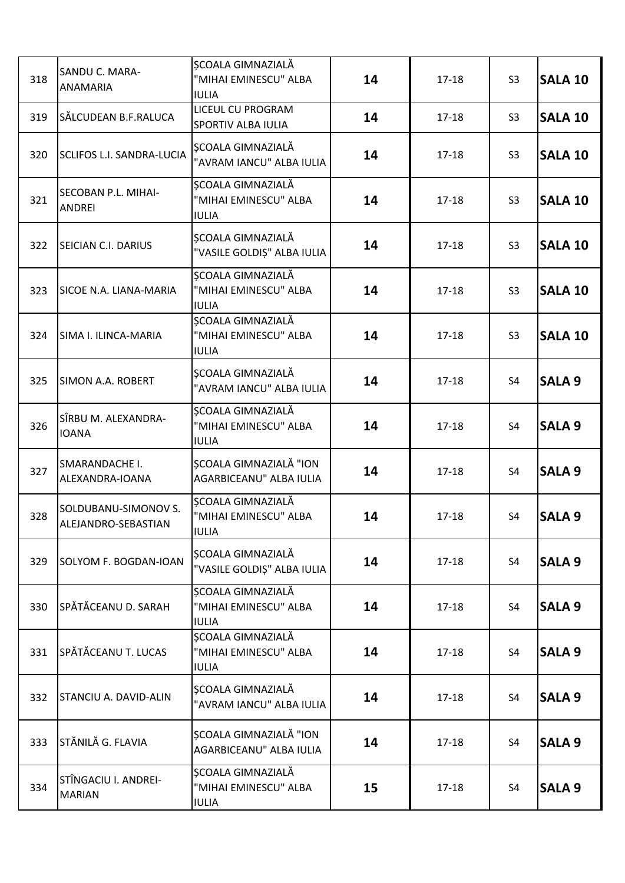| 318 | SANDU C. MARA-<br>ANAMARIA                  | ȘCOALA GIMNAZIALĂ<br>"MIHAI EMINESCU" ALBA<br><b>IULIA</b> | 14 | $17 - 18$ | S <sub>3</sub> | <b>SALA 10</b> |
|-----|---------------------------------------------|------------------------------------------------------------|----|-----------|----------------|----------------|
| 319 | SĂLCUDEAN B.F.RALUCA                        | <b>LICEUL CU PROGRAM</b><br>SPORTIV ALBA IULIA             | 14 | $17 - 18$ | S <sub>3</sub> | <b>SALA 10</b> |
| 320 | <b>SCLIFOS L.I. SANDRA-LUCIA</b>            | ȘCOALA GIMNAZIALĂ<br>"AVRAM IANCU" ALBA IULIA              | 14 | $17 - 18$ | S <sub>3</sub> | <b>SALA 10</b> |
| 321 | SECOBAN P.L. MIHAI-<br>ANDREI               | ȘCOALA GIMNAZIALĂ<br>"MIHAI EMINESCU" ALBA<br><b>IULIA</b> | 14 | $17 - 18$ | S <sub>3</sub> | <b>SALA 10</b> |
| 322 | SEICIAN C.I. DARIUS                         | SCOALA GIMNAZIALĂ<br>"VASILE GOLDIȘ" ALBA IULIA            | 14 | $17 - 18$ | S <sub>3</sub> | <b>SALA 10</b> |
| 323 | SICOE N.A. LIANA-MARIA                      | SCOALA GIMNAZIALĂ<br>"MIHAI EMINESCU" ALBA<br><b>IULIA</b> | 14 | $17 - 18$ | S <sub>3</sub> | <b>SALA 10</b> |
| 324 | SIMA I. ILINCA-MARIA                        | ȘCOALA GIMNAZIALĂ<br>"MIHAI EMINESCU" ALBA<br><b>IULIA</b> | 14 | $17 - 18$ | S <sub>3</sub> | <b>SALA 10</b> |
| 325 | SIMON A.A. ROBERT                           | SCOALA GIMNAZIALĂ<br>"AVRAM IANCU" ALBA IULIA              | 14 | $17 - 18$ | S <sub>4</sub> | <b>SALA 9</b>  |
| 326 | SÎRBU M. ALEXANDRA-<br><b>IOANA</b>         | ȘCOALA GIMNAZIALĂ<br>"MIHAI EMINESCU" ALBA<br><b>IULIA</b> | 14 | $17 - 18$ | S <sub>4</sub> | <b>SALA 9</b>  |
| 327 | SMARANDACHE I.<br>ALEXANDRA-IOANA           | <b>SCOALA GIMNAZIALĂ "ION</b><br>AGARBICEANU" ALBA IULIA   | 14 | $17 - 18$ | S4             | <b>SALA 9</b>  |
| 328 | SOLDUBANU-SIMONOV S.<br>ALEJANDRO-SEBASTIAN | SCOALA GIMNAZIALĂ<br>"MIHAI EMINESCU" ALBA<br><b>IULIA</b> | 14 | $17 - 18$ | S4             | <b>SALA 9</b>  |
| 329 | SOLYOM F. BOGDAN-IOAN                       | SCOALA GIMNAZIALĂ<br>"VASILE GOLDIȘ" ALBA IULIA            | 14 | $17 - 18$ | S <sub>4</sub> | <b>SALA 9</b>  |
| 330 | SPĂTĂCEANU D. SARAH                         | SCOALA GIMNAZIALĂ<br>"MIHAI EMINESCU" ALBA<br><b>IULIA</b> | 14 | $17 - 18$ | S4             | SALA 9         |
| 331 | SPĂTĂCEANU T. LUCAS                         | SCOALA GIMNAZIALĂ<br>"MIHAI EMINESCU" ALBA<br><b>IULIA</b> | 14 | $17 - 18$ | S4             | <b>SALA 9</b>  |
| 332 | STANCIU A. DAVID-ALIN                       | SCOALA GIMNAZIALĂ<br>"AVRAM IANCU" ALBA IULIA              | 14 | $17 - 18$ | S4             | <b>SALA 9</b>  |
| 333 | STĂNILĂ G. FLAVIA                           | <b>SCOALA GIMNAZIALĂ "ION</b><br>AGARBICEANU" ALBA IULIA   | 14 | $17 - 18$ | S <sub>4</sub> | <b>SALA 9</b>  |
| 334 | STÎNGACIU I. ANDREI-<br><b>MARIAN</b>       | SCOALA GIMNAZIALĂ<br>"MIHAI EMINESCU" ALBA<br><b>IULIA</b> | 15 | $17 - 18$ | S4             | <b>SALA 9</b>  |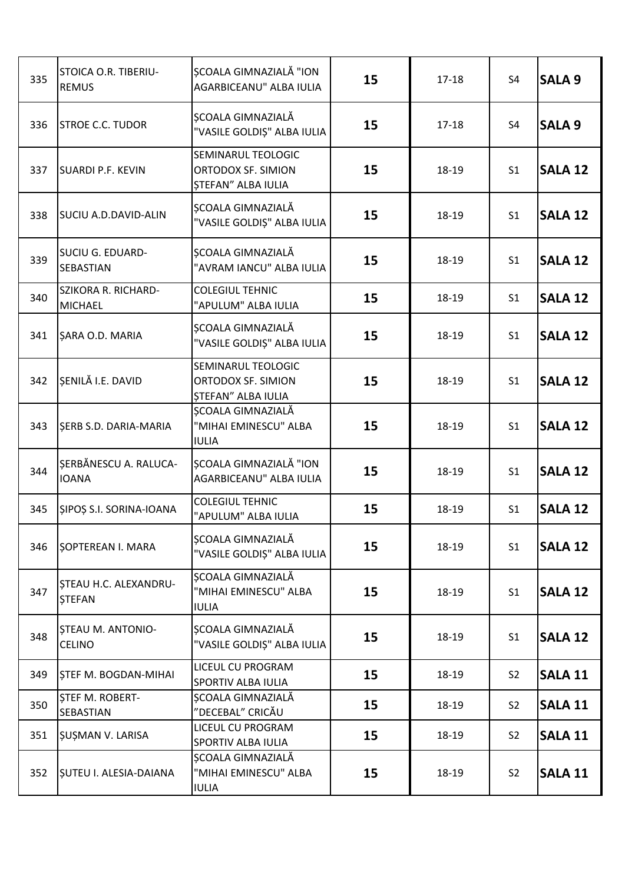| 335 | STOICA O.R. TIBERIU-<br><b>REMUS</b>       | SCOALA GIMNAZIALĂ "ION<br>AGARBICEANU" ALBA IULIA                     | 15 | $17 - 18$ | S <sub>4</sub> | <b>SALA 9</b>  |
|-----|--------------------------------------------|-----------------------------------------------------------------------|----|-----------|----------------|----------------|
| 336 | <b>STROE C.C. TUDOR</b>                    | ȘCOALA GIMNAZIALĂ<br>"VASILE GOLDIȘ" ALBA IULIA                       | 15 | $17 - 18$ | <b>S4</b>      | <b>SALA 9</b>  |
| 337 | <b>SUARDI P.F. KEVIN</b>                   | SEMINARUL TEOLOGIC<br>ORTODOX SF. SIMION<br><b>ȘTEFAN" ALBA IULIA</b> | 15 | 18-19     | S <sub>1</sub> | <b>SALA 12</b> |
| 338 | <b>SUCIU A.D.DAVID-ALIN</b>                | ȘCOALA GIMNAZIALĂ<br>"VASILE GOLDIȘ" ALBA IULIA                       | 15 | 18-19     | S <sub>1</sub> | <b>SALA 12</b> |
| 339 | SUCIU G. EDUARD-<br><b>SEBASTIAN</b>       | ȘCOALA GIMNAZIALĂ<br>"AVRAM IANCU" ALBA IULIA                         | 15 | 18-19     | S <sub>1</sub> | <b>SALA 12</b> |
| 340 | SZIKORA R. RICHARD-<br><b>MICHAEL</b>      | <b>COLEGIUL TEHNIC</b><br>"APULUM" ALBA IULIA                         | 15 | 18-19     | S <sub>1</sub> | <b>SALA 12</b> |
| 341 | <b>ŞARA O.D. MARIA</b>                     | ȘCOALA GIMNAZIALĂ<br>"VASILE GOLDIȘ" ALBA IULIA                       | 15 | 18-19     | S <sub>1</sub> | <b>SALA 12</b> |
| 342 | SENILĂ I.E. DAVID                          | SEMINARUL TEOLOGIC<br>ORTODOX SF. SIMION<br><b>STEFAN" ALBA IULIA</b> | 15 | 18-19     | S <sub>1</sub> | <b>SALA 12</b> |
| 343 | <b>ŞERB S.D. DARIA-MARIA</b>               | <b>SCOALA GIMNAZIALĂ</b><br>"MIHAI EMINESCU" ALBA<br><b>IULIA</b>     | 15 | 18-19     | S <sub>1</sub> | <b>SALA 12</b> |
| 344 | SERBĂNESCU A. RALUCA-<br><b>IOANA</b>      | ȘCOALA GIMNAZIALĂ "ION<br>AGARBICEANU" ALBA IULIA                     | 15 | 18-19     | S <sub>1</sub> | <b>SALA 12</b> |
| 345 | SIPOS S.I. SORINA-IOANA                    | <b>COLEGIUL TEHNIC</b><br>"APULUM" ALBA IULIA                         | 15 | 18-19     | S <sub>1</sub> | <b>SALA 12</b> |
| 346 | SOPTEREAN I. MARA                          | ȘCOALA GIMNAZIALĂ<br>"VASILE GOLDIŞ" ALBA IULIA                       | 15 | 18-19     | S <sub>1</sub> | <b>SALA 12</b> |
| 347 | STEAU H.C. ALEXANDRU-<br><b>STEFAN</b>     | SCOALA GIMNAZIALĂ<br>"MIHAI EMINESCU" ALBA<br><b>IULIA</b>            | 15 | 18-19     | S <sub>1</sub> | <b>SALA 12</b> |
| 348 | STEAU M. ANTONIO-<br><b>CELINO</b>         | SCOALA GIMNAZIALĂ<br>"VASILE GOLDIȘ" ALBA IULIA                       | 15 | 18-19     | S <sub>1</sub> | <b>SALA 12</b> |
| 349 | <b>STEF M. BOGDAN-MIHAI</b>                | LICEUL CU PROGRAM<br>SPORTIV ALBA IULIA                               | 15 | 18-19     | S <sub>2</sub> | <b>SALA 11</b> |
| 350 | <b>STEF M. ROBERT-</b><br><b>SEBASTIAN</b> | SCOALA GIMNAZIALĂ<br>"DECEBAL" CRICĂU                                 | 15 | 18-19     | S <sub>2</sub> | <b>SALA 11</b> |
| 351 | ŞUŞMAN V. LARISA                           | LICEUL CU PROGRAM<br>SPORTIV ALBA IULIA                               | 15 | 18-19     | S <sub>2</sub> | <b>SALA 11</b> |
| 352 | <b>SUTEU I. ALESIA-DAIANA</b>              | ȘCOALA GIMNAZIALĂ<br>"MIHAI EMINESCU" ALBA<br><b>IULIA</b>            | 15 | 18-19     | S <sub>2</sub> | <b>SALA 11</b> |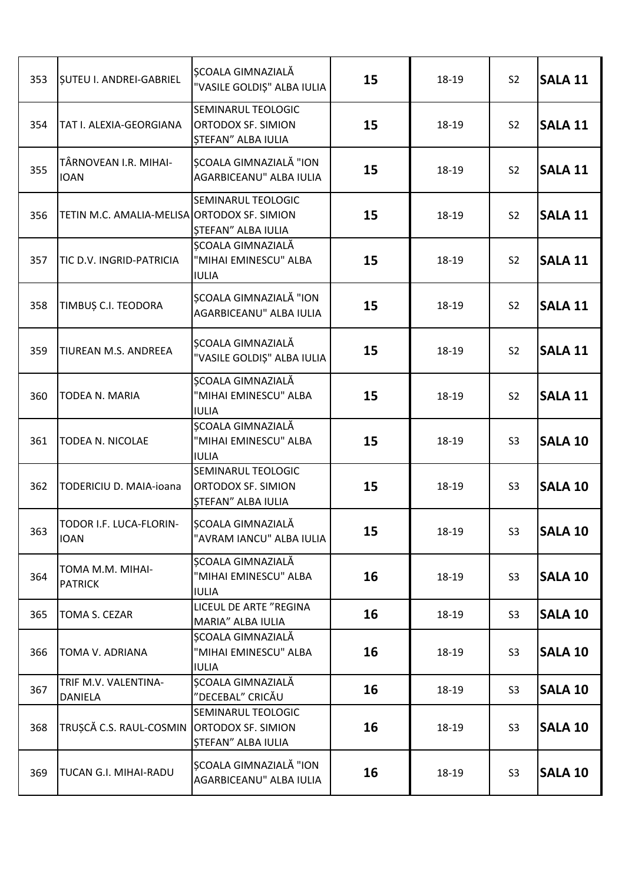| 353 | <b>SUTEU I. ANDREI-GABRIEL</b>              | SCOALA GIMNAZIALĂ<br>"VASILE GOLDIȘ" ALBA IULIA                       | 15 | 18-19 | S <sub>2</sub> | <b>SALA 11</b> |
|-----|---------------------------------------------|-----------------------------------------------------------------------|----|-------|----------------|----------------|
| 354 | TAT I. ALEXIA-GEORGIANA                     | SEMINARUL TEOLOGIC<br>ORTODOX SF. SIMION<br><b>ȘTEFAN" ALBA IULIA</b> | 15 | 18-19 | S <sub>2</sub> | <b>SALA 11</b> |
| 355 | TÂRNOVEAN I.R. MIHAI-<br><b>IOAN</b>        | ȘCOALA GIMNAZIALĂ "ION<br>AGARBICEANU" ALBA IULIA                     | 15 | 18-19 | S <sub>2</sub> | <b>SALA 11</b> |
| 356 | TETIN M.C. AMALIA-MELISA ORTODOX SF. SIMION | SEMINARUL TEOLOGIC<br><b>STEFAN" ALBA IULIA</b>                       | 15 | 18-19 | S <sub>2</sub> | <b>SALA 11</b> |
| 357 | TIC D.V. INGRID-PATRICIA                    | ȘCOALA GIMNAZIALĂ<br>"MIHAI EMINESCU" ALBA<br><b>IULIA</b>            | 15 | 18-19 | S <sub>2</sub> | <b>SALA 11</b> |
| 358 | TIMBUȘ C.I. TEODORA                         | <b>SCOALA GIMNAZIALĂ "ION</b><br>AGARBICEANU" ALBA IULIA              | 15 | 18-19 | S <sub>2</sub> | <b>SALA 11</b> |
| 359 | TIUREAN M.S. ANDREEA                        | <b>SCOALA GIMNAZIALĂ</b><br>"VASILE GOLDIȘ" ALBA IULIA                | 15 | 18-19 | S <sub>2</sub> | <b>SALA 11</b> |
| 360 | TODEA N. MARIA                              | ȘCOALA GIMNAZIALĂ<br>"MIHAI EMINESCU" ALBA<br><b>IULIA</b>            | 15 | 18-19 | S <sub>2</sub> | <b>SALA 11</b> |
| 361 | TODEA N. NICOLAE                            | ȘCOALA GIMNAZIALĂ<br>"MIHAI EMINESCU" ALBA<br><b>IULIA</b>            | 15 | 18-19 | S <sub>3</sub> | <b>SALA 10</b> |
| 362 | TODERICIU D. MAIA-ioana                     | SEMINARUL TEOLOGIC<br>ORTODOX SF. SIMION<br><b>ȘTEFAN" ALBA IULIA</b> | 15 | 18-19 | S <sub>3</sub> | <b>SALA 10</b> |
| 363 | TODOR I.F. LUCA-FLORIN-<br><b>IOAN</b>      | ȘCOALA GIMNAZIALĂ<br>"AVRAM IANCU" ALBA IULIA                         | 15 | 18-19 | S <sub>3</sub> | <b>SALA 10</b> |
| 364 | TOMA M.M. MIHAI-<br><b>PATRICK</b>          | ȘCOALA GIMNAZIALĂ<br>"MIHAI EMINESCU" ALBA<br><b>IULIA</b>            | 16 | 18-19 | S <sub>3</sub> | <b>SALA 10</b> |
| 365 | TOMA S. CEZAR                               | LICEUL DE ARTE "REGINA<br>MARIA" ALBA IULIA                           | 16 | 18-19 | S <sub>3</sub> | <b>SALA 10</b> |
| 366 | TOMA V. ADRIANA                             | ȘCOALA GIMNAZIALĂ<br>"MIHAI EMINESCU" ALBA<br><b>IULIA</b>            | 16 | 18-19 | S <sub>3</sub> | <b>SALA 10</b> |
| 367 | TRIF M.V. VALENTINA-<br>DANIELA             | SCOALA GIMNAZIALĂ<br>"DECEBAL" CRICĂU                                 | 16 | 18-19 | S <sub>3</sub> | <b>SALA 10</b> |
| 368 | TRUȘCĂ C.S. RAUL-COSMIN ORTODOX SF. SIMION  | SEMINARUL TEOLOGIC<br><b>STEFAN" ALBA IULIA</b>                       | 16 | 18-19 | S <sub>3</sub> | <b>SALA 10</b> |
| 369 | TUCAN G.I. MIHAI-RADU                       | ȘCOALA GIMNAZIALĂ "ION<br>AGARBICEANU" ALBA IULIA                     | 16 | 18-19 | S <sub>3</sub> | <b>SALA 10</b> |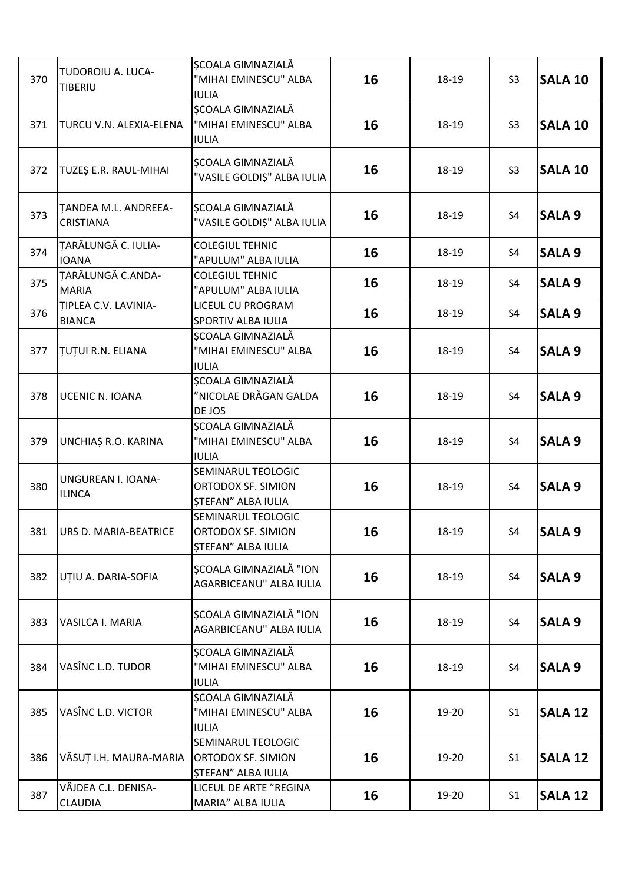| 370 | TUDOROIU A. LUCA-<br>TIBERIU             | <b>SCOALA GIMNAZIALĂ</b><br>"MIHAI EMINESCU" ALBA<br><b>IULIA</b>     | 16 | 18-19 | S <sub>3</sub> | <b>SALA 10</b> |
|-----|------------------------------------------|-----------------------------------------------------------------------|----|-------|----------------|----------------|
| 371 | TURCU V.N. ALEXIA-ELENA                  | <b>SCOALA GIMNAZIALĂ</b><br>"MIHAI EMINESCU" ALBA<br><b>IULIA</b>     | 16 | 18-19 | S <sub>3</sub> | <b>SALA 10</b> |
| 372 | TUZEȘ E.R. RAUL-MIHAI                    | SCOALA GIMNAZIALĂ<br>"VASILE GOLDIȘ" ALBA IULIA                       | 16 | 18-19 | S <sub>3</sub> | <b>SALA 10</b> |
| 373 | TANDEA M.L. ANDREEA-<br><b>CRISTIANA</b> | ȘCOALA GIMNAZIALĂ<br>"VASILE GOLDIȘ" ALBA IULIA                       | 16 | 18-19 | S <sub>4</sub> | <b>SALA 9</b>  |
| 374 | TARĂLUNGĂ C. IULIA-<br><b>IOANA</b>      | <b>COLEGIUL TEHNIC</b><br>"APULUM" ALBA IULIA                         | 16 | 18-19 | S <sub>4</sub> | <b>SALA 9</b>  |
| 375 | TARĂLUNGĂ C.ANDA-<br><b>MARIA</b>        | <b>COLEGIUL TEHNIC</b><br>"APULUM" ALBA IULIA                         | 16 | 18-19 | S4             | <b>SALA 9</b>  |
| 376 | TIPLEA C.V. LAVINIA-<br><b>BIANCA</b>    | LICEUL CU PROGRAM<br>SPORTIV ALBA IULIA                               | 16 | 18-19 | S4             | <b>SALA 9</b>  |
| 377 | <b>TUTUI R.N. ELIANA</b>                 | SCOALA GIMNAZIALĂ<br>"MIHAI EMINESCU" ALBA<br><b>IULIA</b>            | 16 | 18-19 | S4             | <b>SALA 9</b>  |
| 378 | UCENIC N. IOANA                          | <b>SCOALA GIMNAZIALĂ</b><br>"NICOLAE DRĂGAN GALDA<br>DE JOS           | 16 | 18-19 | S <sub>4</sub> | <b>SALA 9</b>  |
| 379 | UNCHIAȘ R.O. KARINA                      | ȘCOALA GIMNAZIALĂ<br>"MIHAI EMINESCU" ALBA<br><b>IULIA</b>            | 16 | 18-19 | S4             | <b>SALA 9</b>  |
| 380 | UNGUREAN I. IOANA-<br><b>ILINCA</b>      | SEMINARUL TEOLOGIC<br>ORTODOX SF. SIMION<br><b>STEFAN" ALBA IULIA</b> | 16 | 18-19 | S4             | <b>SALA 9</b>  |
| 381 | URS D. MARIA-BEATRICE                    | SEMINARUL TEOLOGIC<br>ORTODOX SF. SIMION<br>ȘTEFAN" ALBA IULIA        | 16 | 18-19 | S <sub>4</sub> | <b>SALA 9</b>  |
| 382 | UȚIU A. DARIA-SOFIA                      | <b>SCOALA GIMNAZIALĂ "ION</b><br>AGARBICEANU" ALBA IULIA              | 16 | 18-19 | S4             | <b>SALA 9</b>  |
| 383 | VASILCA I. MARIA                         | <b>SCOALA GIMNAZIALĂ "ION</b><br>AGARBICEANU" ALBA IULIA              | 16 | 18-19 | S4             | <b>SALA 9</b>  |
| 384 | VASÎNC L.D. TUDOR                        | ȘCOALA GIMNAZIALĂ<br>"MIHAI EMINESCU" ALBA<br><b>IULIA</b>            | 16 | 18-19 | S4             | <b>SALA 9</b>  |
| 385 | VASÎNC L.D. VICTOR                       | ȘCOALA GIMNAZIALĂ<br>"MIHAI EMINESCU" ALBA<br><b>IULIA</b>            | 16 | 19-20 | S <sub>1</sub> | <b>SALA 12</b> |
| 386 | VĂSUȚ I.H. MAURA-MARIA                   | SEMINARUL TEOLOGIC<br>ORTODOX SF. SIMION<br><b>STEFAN" ALBA IULIA</b> | 16 | 19-20 | S <sub>1</sub> | <b>SALA 12</b> |
| 387 | VÂJDEA C.L. DENISA-<br><b>CLAUDIA</b>    | LICEUL DE ARTE "REGINA<br>MARIA" ALBA IULIA                           | 16 | 19-20 | S <sub>1</sub> | SALA 12        |